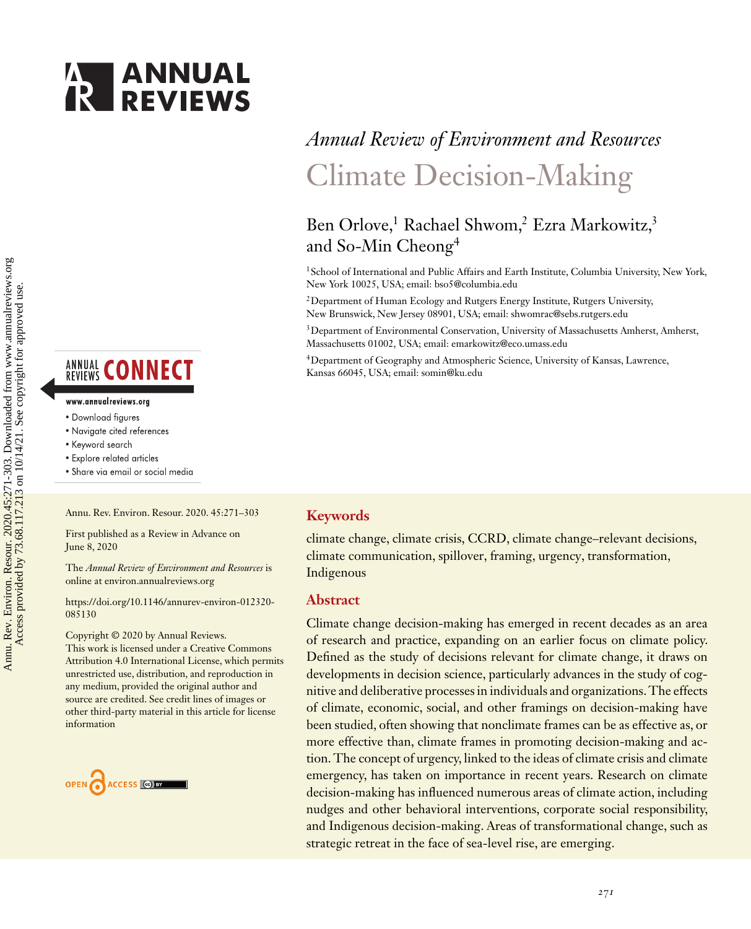



# **ANNUAL CONNECT**

#### www.annualreviews.org

- · Download figures
- Navigate cited references
- Keyword search
- · Explore related articles
- · Share via email or social media

Annu. Rev. Environ. Resour. 2020. 45:271–303

First published as a Review in Advance on June 8, 2020

The *Annual Review of Environment and Resources* is online at environ.annualreviews.org

[https://doi.org/10.1146/annurev-environ-012320-](https://doi.org/10.1146/annurev-environ-012320-085130) 085130

Copyright © 2020 by Annual Reviews. This work is licensed under a Creative Commons Attribution 4.0 International License, which permits unrestricted use, distribution, and reproduction in any medium, provided the original author and source are credited. See credit lines of images or other third-party material in this article for license information



# *Annual Review of Environment and Resources* Climate Decision-Making

# Ben Orlove,<sup>1</sup> Rachael Shwom,<sup>2</sup> Ezra Markowitz,<sup>3</sup> and So-Min Cheong<sup>4</sup>

<sup>1</sup> School of International and Public Affairs and Earth Institute, Columbia University, New York, New York 10025, USA; email: [bso5@columbia.edu](mailto:bso5@columbia.edu)

2Department of Human Ecology and Rutgers Energy Institute, Rutgers University, New Brunswick, New Jersey 08901, USA; email: [shwomrac@sebs.rutgers.edu](mailto:shwomrac@sebs.rutgers.edu)

<sup>3</sup>Department of Environmental Conservation, University of Massachusetts Amherst, Amherst, Massachusetts 01002, USA; email: [emarkowitz@eco.umass.edu](mailto:emarkowitz@eco.umass.edu)

4Department of Geography and Atmospheric Science, University of Kansas, Lawrence, Kansas 66045, USA; email: [somin@ku.edu](mailto:somin@ku.edu)

#### **Keywords**

climate change, climate crisis, CCRD, climate change–relevant decisions, climate communication, spillover, framing, urgency, transformation, Indigenous

#### **Abstract**

Climate change decision-making has emerged in recent decades as an area of research and practice, expanding on an earlier focus on climate policy. Defined as the study of decisions relevant for climate change, it draws on developments in decision science, particularly advances in the study of cognitive and deliberative processes in individuals and organizations. The effects of climate, economic, social, and other framings on decision-making have been studied, often showing that nonclimate frames can be as effective as, or more effective than, climate frames in promoting decision-making and action. The concept of urgency, linked to the ideas of climate crisis and climate emergency, has taken on importance in recent years. Research on climate decision-making has influenced numerous areas of climate action, including nudges and other behavioral interventions, corporate social responsibility, and Indigenous decision-making. Areas of transformational change, such as strategic retreat in the face of sea-level rise, are emerging.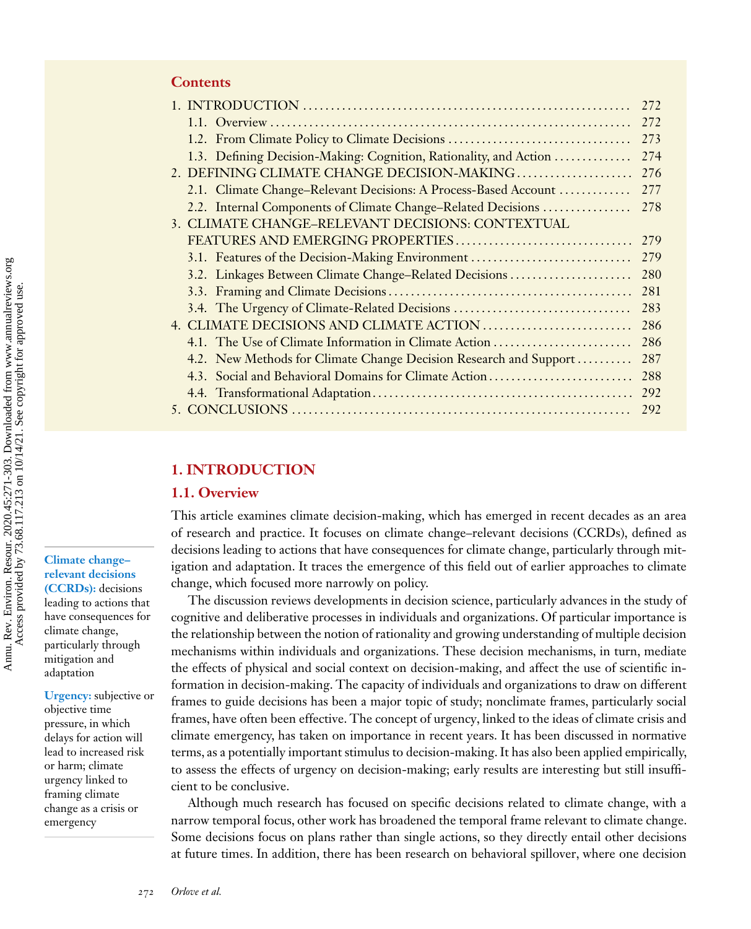|                                                                   | 272 |
|-------------------------------------------------------------------|-----|
|                                                                   | 272 |
| 1.2. From Climate Policy to Climate Decisions                     | 273 |
| 1.3. Defining Decision-Making: Cognition, Rationality, and Action | 274 |
| 2. DEFINING CLIMATE CHANGE DECISION-MAKING                        | 276 |
| 2.1. Climate Change–Relevant Decisions: A Process-Based Account   | 277 |
| 2.2. Internal Components of Climate Change–Related Decisions      | 278 |
| 3. CLIMATE CHANGE–RELEVANT DECISIONS: CONTEXTUAL                  |     |
| FEATURES AND EMERGING PROPERTIES                                  | 279 |
| 3.1. Features of the Decision-Making Environment                  | 279 |
| 3.2. Linkages Between Climate Change-Related Decisions            | 280 |
|                                                                   | 281 |
| 3.4. The Urgency of Climate-Related Decisions                     | 283 |
|                                                                   | 286 |
| 4.1. The Use of Climate Information in Climate Action             | 286 |
| 4.2. New Methods for Climate Change Decision Research and Support | 287 |
| 4.3. Social and Behavioral Domains for Climate Action             | 288 |
|                                                                   | 292 |
|                                                                   | 292 |

## **1. INTRODUCTION**

#### **1.1. Overview**

This article examines climate decision-making, which has emerged in recent decades as an area of research and practice. It focuses on climate change–relevant decisions (CCRDs), defined as decisions leading to actions that have consequences for climate change, particularly through mitigation and adaptation. It traces the emergence of this field out of earlier approaches to climate change, which focused more narrowly on policy.

The discussion reviews developments in decision science, particularly advances in the study of cognitive and deliberative processes in individuals and organizations. Of particular importance is the relationship between the notion of rationality and growing understanding of multiple decision mechanisms within individuals and organizations. These decision mechanisms, in turn, mediate the effects of physical and social context on decision-making, and affect the use of scientific information in decision-making. The capacity of individuals and organizations to draw on different frames to guide decisions has been a major topic of study; nonclimate frames, particularly social frames, have often been effective. The concept of urgency, linked to the ideas of climate crisis and climate emergency, has taken on importance in recent years. It has been discussed in normative terms, as a potentially important stimulus to decision-making. It has also been applied empirically, to assess the effects of urgency on decision-making; early results are interesting but still insufficient to be conclusive.

Although much research has focused on specific decisions related to climate change, with a narrow temporal focus, other work has broadened the temporal frame relevant to climate change. Some decisions focus on plans rather than single actions, so they directly entail other decisions at future times. In addition, there has been research on behavioral spillover, where one decision

**Climate change– relevant decisions (CCRDs):** decisions leading to actions that have consequences for climate change, particularly through mitigation and adaptation

**Urgency:** subjective or objective time pressure, in which delays for action will lead to increased risk or harm; climate urgency linked to framing climate change as a crisis or emergency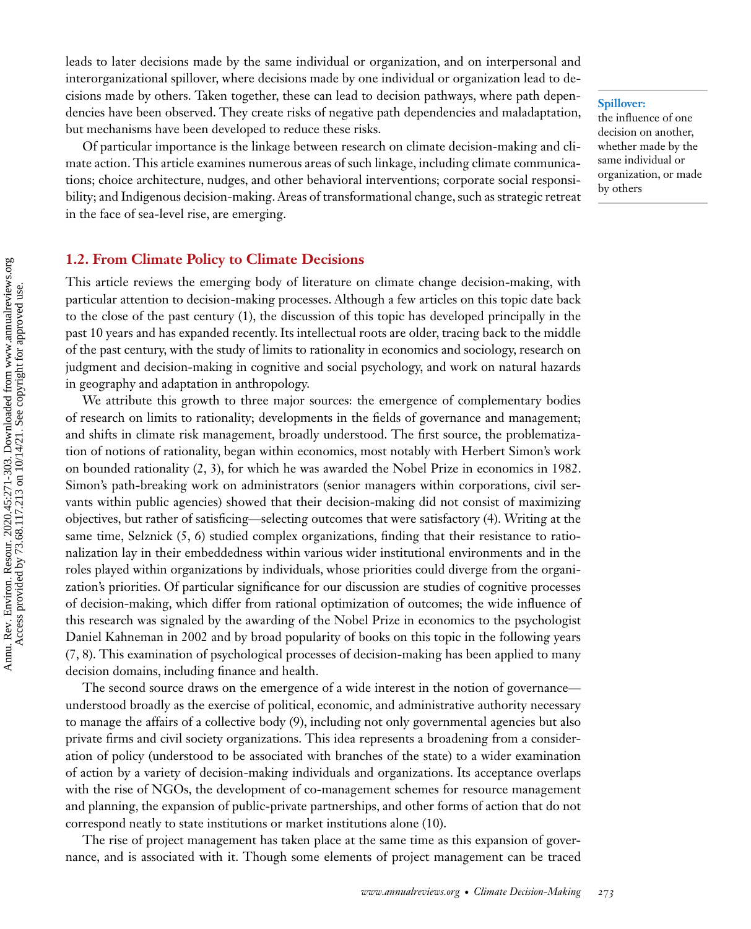leads to later decisions made by the same individual or organization, and on interpersonal and interorganizational spillover, where decisions made by one individual or organization lead to decisions made by others. Taken together, these can lead to decision pathways, where path dependencies have been observed. They create risks of negative path dependencies and maladaptation, but mechanisms have been developed to reduce these risks.

Of particular importance is the linkage between research on climate decision-making and climate action. This article examines numerous areas of such linkage, including climate communications; choice architecture, nudges, and other behavioral interventions; corporate social responsibility; and Indigenous decision-making. Areas of transformational change, such as strategic retreat in the face of sea-level rise, are emerging.

#### **1.2. From Climate Policy to Climate Decisions**

This article reviews the emerging body of literature on climate change decision-making, with particular attention to decision-making processes. Although a few articles on this topic date back to the close of the past century [\(1\)](#page-24-0), the discussion of this topic has developed principally in the past 10 years and has expanded recently. Its intellectual roots are older, tracing back to the middle of the past century, with the study of limits to rationality in economics and sociology, research on judgment and decision-making in cognitive and social psychology, and work on natural hazards in geography and adaptation in anthropology.

We attribute this growth to three major sources: the emergence of complementary bodies of research on limits to rationality; developments in the fields of governance and management; and shifts in climate risk management, broadly understood. The first source, the problematization of notions of rationality, began within economics, most notably with Herbert Simon's work on bounded rationality [\(2, 3\)](#page-24-0), for which he was awarded the Nobel Prize in economics in 1982. Simon's path-breaking work on administrators (senior managers within corporations, civil servants within public agencies) showed that their decision-making did not consist of maximizing objectives, but rather of satisficing—selecting outcomes that were satisfactory [\(4\)](#page-24-0). Writing at the same time, Selznick [\(5, 6\)](#page-24-0) studied complex organizations, finding that their resistance to rationalization lay in their embeddedness within various wider institutional environments and in the roles played within organizations by individuals, whose priorities could diverge from the organization's priorities. Of particular significance for our discussion are studies of cognitive processes of decision-making, which differ from rational optimization of outcomes; the wide influence of this research was signaled by the awarding of the Nobel Prize in economics to the psychologist Daniel Kahneman in 2002 and by broad popularity of books on this topic in the following years [\(7, 8\)](#page-24-0). This examination of psychological processes of decision-making has been applied to many decision domains, including finance and health.

The second source draws on the emergence of a wide interest in the notion of governance understood broadly as the exercise of political, economic, and administrative authority necessary to manage the affairs of a collective body [\(9\)](#page-24-0), including not only governmental agencies but also private firms and civil society organizations. This idea represents a broadening from a consideration of policy (understood to be associated with branches of the state) to a wider examination of action by a variety of decision-making individuals and organizations. Its acceptance overlaps with the rise of NGOs, the development of co-management schemes for resource management and planning, the expansion of public-private partnerships, and other forms of action that do not correspond neatly to state institutions or market institutions alone [\(10\)](#page-25-0).

The rise of project management has taken place at the same time as this expansion of governance, and is associated with it. Though some elements of project management can be traced

#### **Spillover:**

the influence of one decision on another, whether made by the same individual or organization, or made by others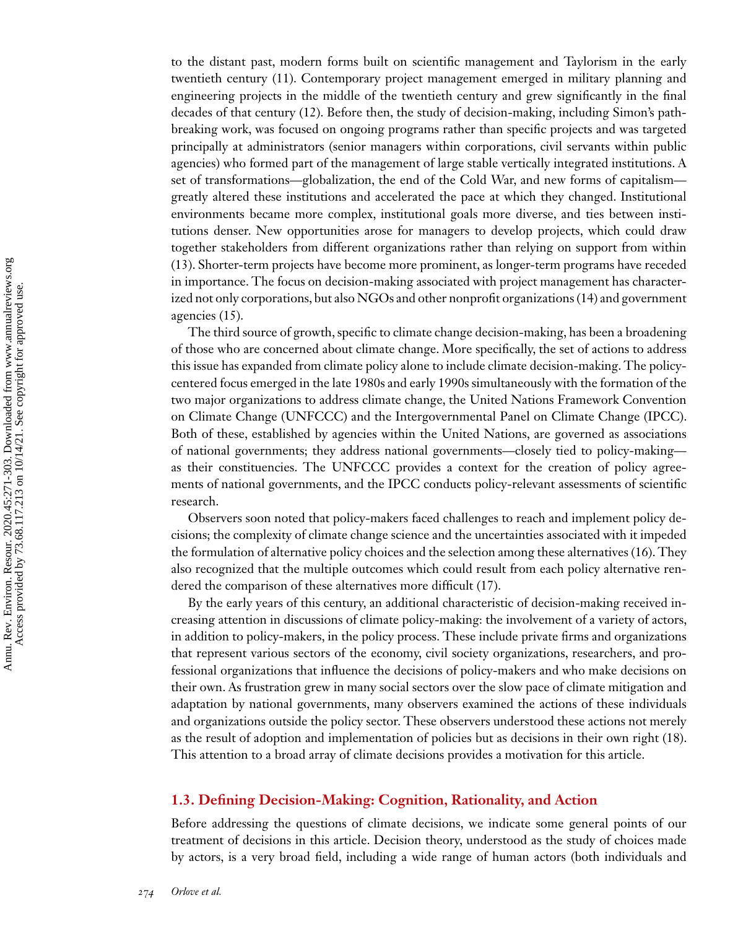to the distant past, modern forms built on scientific management and Taylorism in the early twentieth century [\(11\)](#page-25-0). Contemporary project management emerged in military planning and engineering projects in the middle of the twentieth century and grew significantly in the final decades of that century [\(12\)](#page-25-0). Before then, the study of decision-making, including Simon's pathbreaking work, was focused on ongoing programs rather than specific projects and was targeted principally at administrators (senior managers within corporations, civil servants within public agencies) who formed part of the management of large stable vertically integrated institutions. A set of transformations—globalization, the end of the Cold War, and new forms of capitalism greatly altered these institutions and accelerated the pace at which they changed. Institutional environments became more complex, institutional goals more diverse, and ties between institutions denser. New opportunities arose for managers to develop projects, which could draw together stakeholders from different organizations rather than relying on support from within [\(13\)](#page-25-0). Shorter-term projects have become more prominent, as longer-term programs have receded in importance. The focus on decision-making associated with project management has characterized not only corporations, but also NGOs and other nonprofit organizations [\(14\)](#page-25-0) and government agencies [\(15\)](#page-25-0).

The third source of growth, specific to climate change decision-making, has been a broadening of those who are concerned about climate change. More specifically, the set of actions to address this issue has expanded from climate policy alone to include climate decision-making. The policycentered focus emerged in the late 1980s and early 1990s simultaneously with the formation of the two major organizations to address climate change, the United Nations Framework Convention on Climate Change (UNFCCC) and the Intergovernmental Panel on Climate Change (IPCC). Both of these, established by agencies within the United Nations, are governed as associations of national governments; they address national governments—closely tied to policy-making as their constituencies. The UNFCCC provides a context for the creation of policy agreements of national governments, and the IPCC conducts policy-relevant assessments of scientific research.

Observers soon noted that policy-makers faced challenges to reach and implement policy decisions; the complexity of climate change science and the uncertainties associated with it impeded the formulation of alternative policy choices and the selection among these alternatives [\(16\)](#page-25-0). They also recognized that the multiple outcomes which could result from each policy alternative rendered the comparison of these alternatives more difficult [\(17\)](#page-25-0).

By the early years of this century, an additional characteristic of decision-making received increasing attention in discussions of climate policy-making: the involvement of a variety of actors, in addition to policy-makers, in the policy process. These include private firms and organizations that represent various sectors of the economy, civil society organizations, researchers, and professional organizations that influence the decisions of policy-makers and who make decisions on their own. As frustration grew in many social sectors over the slow pace of climate mitigation and adaptation by national governments, many observers examined the actions of these individuals and organizations outside the policy sector. These observers understood these actions not merely as the result of adoption and implementation of policies but as decisions in their own right [\(18\)](#page-25-0). This attention to a broad array of climate decisions provides a motivation for this article.

### **1.3. Defining Decision-Making: Cognition, Rationality, and Action**

Before addressing the questions of climate decisions, we indicate some general points of our treatment of decisions in this article. Decision theory, understood as the study of choices made by actors, is a very broad field, including a wide range of human actors (both individuals and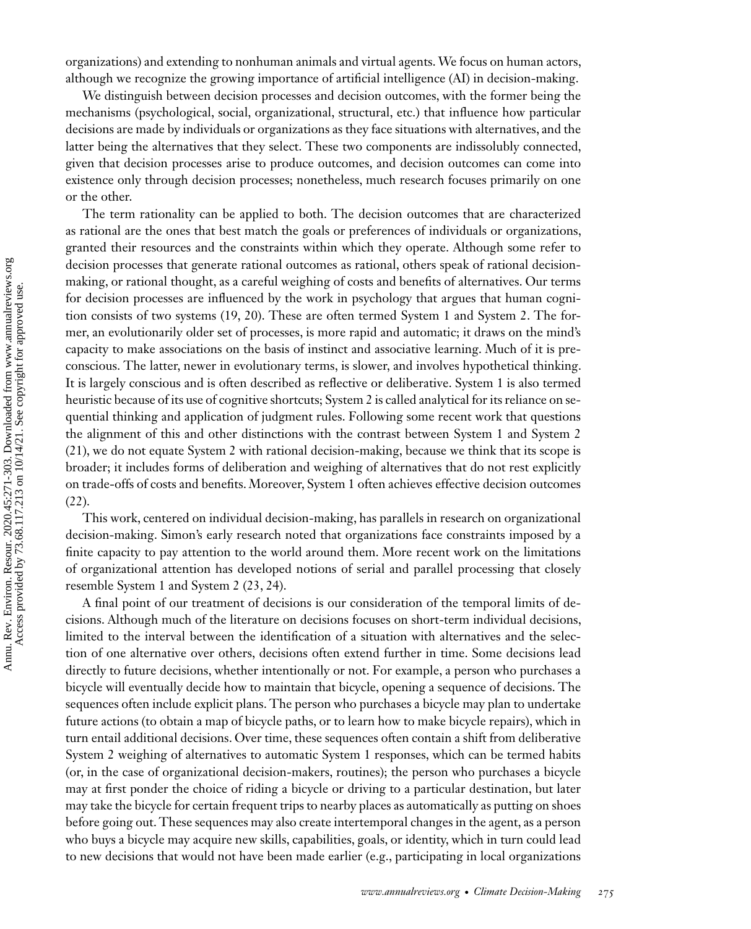organizations) and extending to nonhuman animals and virtual agents.We focus on human actors, although we recognize the growing importance of artificial intelligence (AI) in decision-making.

We distinguish between decision processes and decision outcomes, with the former being the mechanisms (psychological, social, organizational, structural, etc.) that influence how particular decisions are made by individuals or organizations as they face situations with alternatives, and the latter being the alternatives that they select. These two components are indissolubly connected, given that decision processes arise to produce outcomes, and decision outcomes can come into existence only through decision processes; nonetheless, much research focuses primarily on one or the other.

The term rationality can be applied to both. The decision outcomes that are characterized as rational are the ones that best match the goals or preferences of individuals or organizations, granted their resources and the constraints within which they operate. Although some refer to decision processes that generate rational outcomes as rational, others speak of rational decisionmaking, or rational thought, as a careful weighing of costs and benefits of alternatives. Our terms for decision processes are influenced by the work in psychology that argues that human cognition consists of two systems [\(19, 20\)](#page-25-0). These are often termed System 1 and System 2. The former, an evolutionarily older set of processes, is more rapid and automatic; it draws on the mind's capacity to make associations on the basis of instinct and associative learning. Much of it is preconscious. The latter, newer in evolutionary terms, is slower, and involves hypothetical thinking. It is largely conscious and is often described as reflective or deliberative. System 1 is also termed heuristic because of its use of cognitive shortcuts; System 2 is called analytical for its reliance on sequential thinking and application of judgment rules. Following some recent work that questions the alignment of this and other distinctions with the contrast between System 1 and System 2 [\(21\)](#page-25-0), we do not equate System 2 with rational decision-making, because we think that its scope is broader; it includes forms of deliberation and weighing of alternatives that do not rest explicitly on trade-offs of costs and benefits. Moreover, System 1 often achieves effective decision outcomes [\(22\)](#page-25-0).

This work, centered on individual decision-making, has parallels in research on organizational decision-making. Simon's early research noted that organizations face constraints imposed by a finite capacity to pay attention to the world around them. More recent work on the limitations of organizational attention has developed notions of serial and parallel processing that closely resemble System 1 and System 2 [\(23, 24\)](#page-25-0).

A final point of our treatment of decisions is our consideration of the temporal limits of decisions. Although much of the literature on decisions focuses on short-term individual decisions, limited to the interval between the identification of a situation with alternatives and the selection of one alternative over others, decisions often extend further in time. Some decisions lead directly to future decisions, whether intentionally or not. For example, a person who purchases a bicycle will eventually decide how to maintain that bicycle, opening a sequence of decisions. The sequences often include explicit plans. The person who purchases a bicycle may plan to undertake future actions (to obtain a map of bicycle paths, or to learn how to make bicycle repairs), which in turn entail additional decisions. Over time, these sequences often contain a shift from deliberative System 2 weighing of alternatives to automatic System 1 responses, which can be termed habits (or, in the case of organizational decision-makers, routines); the person who purchases a bicycle may at first ponder the choice of riding a bicycle or driving to a particular destination, but later may take the bicycle for certain frequent trips to nearby places as automatically as putting on shoes before going out. These sequences may also create intertemporal changes in the agent, as a person who buys a bicycle may acquire new skills, capabilities, goals, or identity, which in turn could lead to new decisions that would not have been made earlier (e.g., participating in local organizations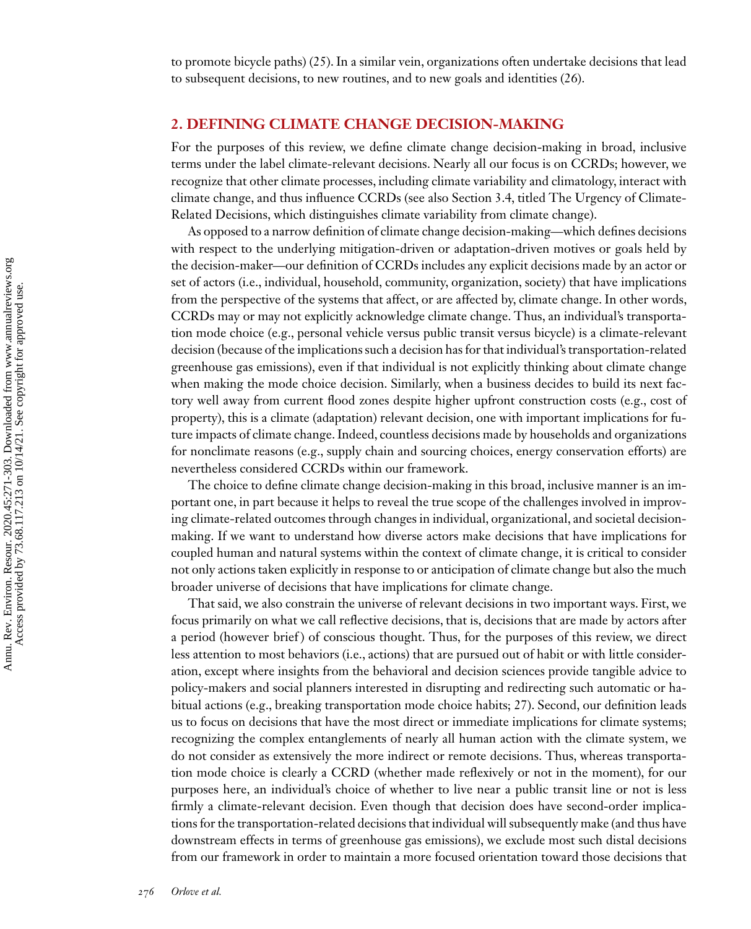to promote bicycle paths) [\(25\)](#page-25-0). In a similar vein, organizations often undertake decisions that lead to subsequent decisions, to new routines, and to new goals and identities [\(26\)](#page-25-0).

## **2. DEFINING CLIMATE CHANGE DECISION-MAKING**

For the purposes of this review, we define climate change decision-making in broad, inclusive terms under the label climate-relevant decisions. Nearly all our focus is on CCRDs; however, we recognize that other climate processes, including climate variability and climatology, interact with climate change, and thus influence CCRDs (see also Section 3.4, titled The Urgency of Climate-Related Decisions, which distinguishes climate variability from climate change).

As opposed to a narrow definition of climate change decision-making—which defines decisions with respect to the underlying mitigation-driven or adaptation-driven motives or goals held by the decision-maker—our definition of CCRDs includes any explicit decisions made by an actor or set of actors (i.e., individual, household, community, organization, society) that have implications from the perspective of the systems that affect, or are affected by, climate change. In other words, CCRDs may or may not explicitly acknowledge climate change. Thus, an individual's transportation mode choice (e.g., personal vehicle versus public transit versus bicycle) is a climate-relevant decision (because of the implications such a decision has for that individual's transportation-related greenhouse gas emissions), even if that individual is not explicitly thinking about climate change when making the mode choice decision. Similarly, when a business decides to build its next factory well away from current flood zones despite higher upfront construction costs (e.g., cost of property), this is a climate (adaptation) relevant decision, one with important implications for future impacts of climate change. Indeed, countless decisions made by households and organizations for nonclimate reasons (e.g., supply chain and sourcing choices, energy conservation efforts) are nevertheless considered CCRDs within our framework.

The choice to define climate change decision-making in this broad, inclusive manner is an important one, in part because it helps to reveal the true scope of the challenges involved in improving climate-related outcomes through changes in individual, organizational, and societal decisionmaking. If we want to understand how diverse actors make decisions that have implications for coupled human and natural systems within the context of climate change, it is critical to consider not only actions taken explicitly in response to or anticipation of climate change but also the much broader universe of decisions that have implications for climate change.

That said, we also constrain the universe of relevant decisions in two important ways. First, we focus primarily on what we call reflective decisions, that is, decisions that are made by actors after a period (however brief) of conscious thought. Thus, for the purposes of this review, we direct less attention to most behaviors (i.e., actions) that are pursued out of habit or with little consideration, except where insights from the behavioral and decision sciences provide tangible advice to policy-makers and social planners interested in disrupting and redirecting such automatic or habitual actions (e.g., breaking transportation mode choice habits; [27\)](#page-25-0). Second, our definition leads us to focus on decisions that have the most direct or immediate implications for climate systems; recognizing the complex entanglements of nearly all human action with the climate system, we do not consider as extensively the more indirect or remote decisions. Thus, whereas transportation mode choice is clearly a CCRD (whether made reflexively or not in the moment), for our purposes here, an individual's choice of whether to live near a public transit line or not is less firmly a climate-relevant decision. Even though that decision does have second-order implications for the transportation-related decisions that individual will subsequently make (and thus have downstream effects in terms of greenhouse gas emissions), we exclude most such distal decisions from our framework in order to maintain a more focused orientation toward those decisions that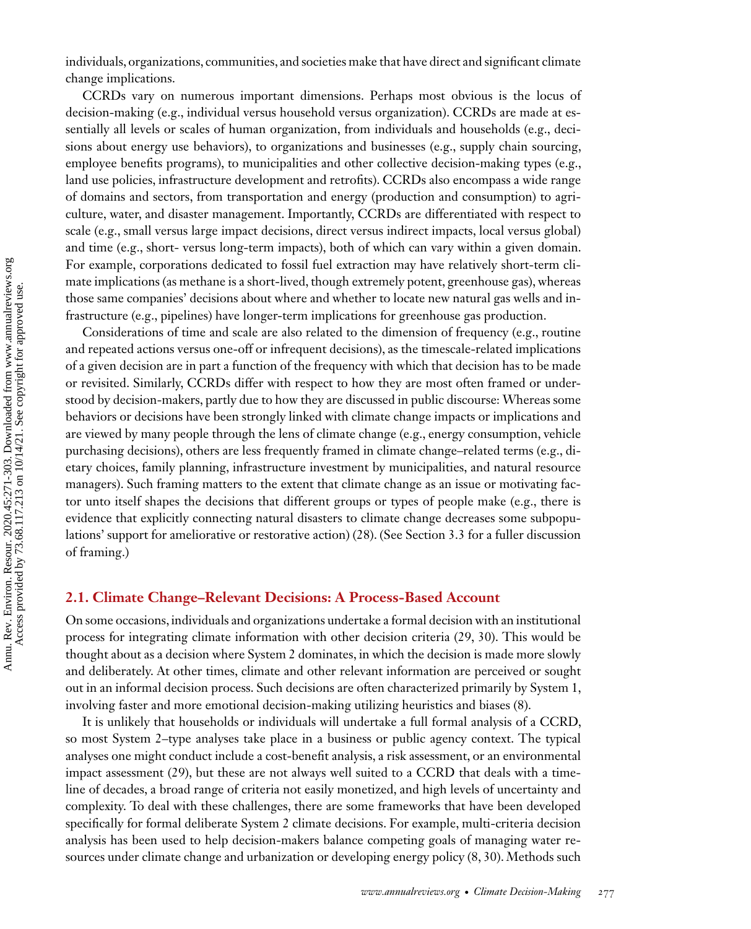individuals, organizations, communities, and societies make that have direct and significant climate change implications.

CCRDs vary on numerous important dimensions. Perhaps most obvious is the locus of decision-making (e.g., individual versus household versus organization). CCRDs are made at essentially all levels or scales of human organization, from individuals and households (e.g., decisions about energy use behaviors), to organizations and businesses (e.g., supply chain sourcing, employee benefits programs), to municipalities and other collective decision-making types (e.g., land use policies, infrastructure development and retrofits). CCRDs also encompass a wide range of domains and sectors, from transportation and energy (production and consumption) to agriculture, water, and disaster management. Importantly, CCRDs are differentiated with respect to scale (e.g., small versus large impact decisions, direct versus indirect impacts, local versus global) and time (e.g., short- versus long-term impacts), both of which can vary within a given domain. For example, corporations dedicated to fossil fuel extraction may have relatively short-term climate implications (as methane is a short-lived, though extremely potent, greenhouse gas), whereas those same companies' decisions about where and whether to locate new natural gas wells and infrastructure (e.g., pipelines) have longer-term implications for greenhouse gas production.

Considerations of time and scale are also related to the dimension of frequency (e.g., routine and repeated actions versus one-off or infrequent decisions), as the timescale-related implications of a given decision are in part a function of the frequency with which that decision has to be made or revisited. Similarly, CCRDs differ with respect to how they are most often framed or understood by decision-makers, partly due to how they are discussed in public discourse: Whereas some behaviors or decisions have been strongly linked with climate change impacts or implications and are viewed by many people through the lens of climate change (e.g., energy consumption, vehicle purchasing decisions), others are less frequently framed in climate change–related terms (e.g., dietary choices, family planning, infrastructure investment by municipalities, and natural resource managers). Such framing matters to the extent that climate change as an issue or motivating factor unto itself shapes the decisions that different groups or types of people make (e.g., there is evidence that explicitly connecting natural disasters to climate change decreases some subpopulations' support for ameliorative or restorative action) [\(28\)](#page-25-0). (See Section 3.3 for a fuller discussion of framing.)

#### **2.1. Climate Change–Relevant Decisions: A Process-Based Account**

On some occasions, individuals and organizations undertake a formal decision with an institutional process for integrating climate information with other decision criteria [\(29, 30\)](#page-25-0). This would be thought about as a decision where System 2 dominates, in which the decision is made more slowly and deliberately. At other times, climate and other relevant information are perceived or sought out in an informal decision process. Such decisions are often characterized primarily by System 1, involving faster and more emotional decision-making utilizing heuristics and biases [\(8\)](#page-24-0).

It is unlikely that households or individuals will undertake a full formal analysis of a CCRD, so most System 2–type analyses take place in a business or public agency context. The typical analyses one might conduct include a cost-benefit analysis, a risk assessment, or an environmental impact assessment [\(29\)](#page-25-0), but these are not always well suited to a CCRD that deals with a timeline of decades, a broad range of criteria not easily monetized, and high levels of uncertainty and complexity. To deal with these challenges, there are some frameworks that have been developed specifically for formal deliberate System 2 climate decisions. For example, multi-criteria decision analysis has been used to help decision-makers balance competing goals of managing water resources under climate change and urbanization or developing energy policy [\(8,](#page-24-0) [30\)](#page-25-0). Methods such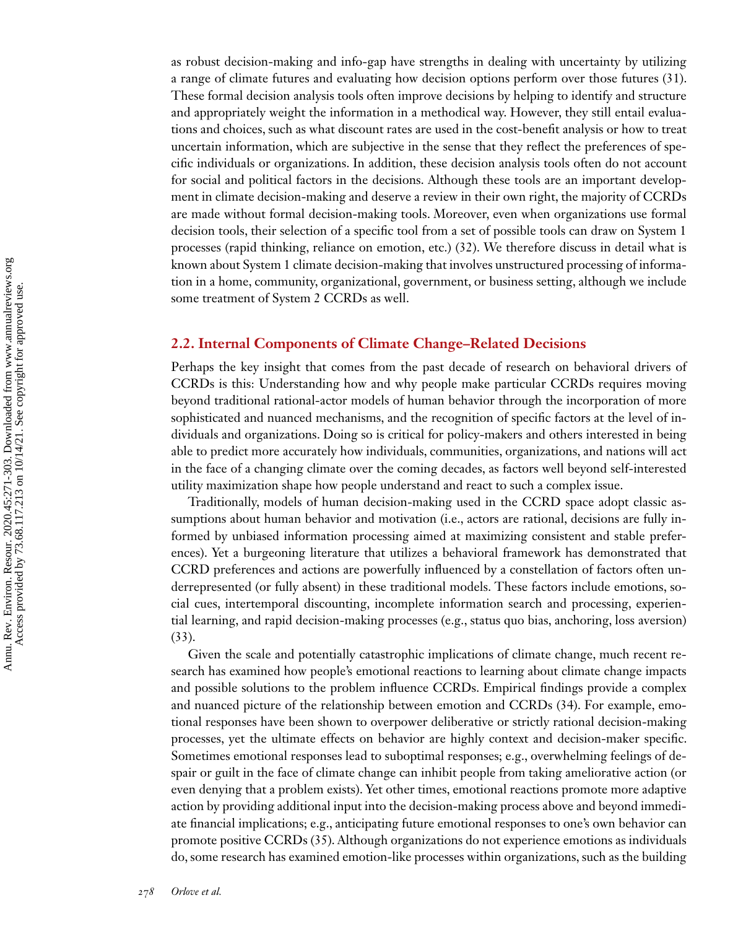as robust decision-making and info-gap have strengths in dealing with uncertainty by utilizing a range of climate futures and evaluating how decision options perform over those futures [\(31\)](#page-25-0). These formal decision analysis tools often improve decisions by helping to identify and structure and appropriately weight the information in a methodical way. However, they still entail evaluations and choices, such as what discount rates are used in the cost-benefit analysis or how to treat uncertain information, which are subjective in the sense that they reflect the preferences of specific individuals or organizations. In addition, these decision analysis tools often do not account for social and political factors in the decisions. Although these tools are an important development in climate decision-making and deserve a review in their own right, the majority of CCRDs are made without formal decision-making tools. Moreover, even when organizations use formal decision tools, their selection of a specific tool from a set of possible tools can draw on System 1 processes (rapid thinking, reliance on emotion, etc.) [\(32\)](#page-25-0). We therefore discuss in detail what is known about System 1 climate decision-making that involves unstructured processing of information in a home, community, organizational, government, or business setting, although we include some treatment of System 2 CCRDs as well.

### **2.2. Internal Components of Climate Change–Related Decisions**

Perhaps the key insight that comes from the past decade of research on behavioral drivers of CCRDs is this: Understanding how and why people make particular CCRDs requires moving beyond traditional rational-actor models of human behavior through the incorporation of more sophisticated and nuanced mechanisms, and the recognition of specific factors at the level of individuals and organizations. Doing so is critical for policy-makers and others interested in being able to predict more accurately how individuals, communities, organizations, and nations will act in the face of a changing climate over the coming decades, as factors well beyond self-interested utility maximization shape how people understand and react to such a complex issue.

Traditionally, models of human decision-making used in the CCRD space adopt classic assumptions about human behavior and motivation (i.e., actors are rational, decisions are fully informed by unbiased information processing aimed at maximizing consistent and stable preferences). Yet a burgeoning literature that utilizes a behavioral framework has demonstrated that CCRD preferences and actions are powerfully influenced by a constellation of factors often underrepresented (or fully absent) in these traditional models. These factors include emotions, social cues, intertemporal discounting, incomplete information search and processing, experiential learning, and rapid decision-making processes (e.g., status quo bias, anchoring, loss aversion) [\(33\)](#page-25-0).

Given the scale and potentially catastrophic implications of climate change, much recent research has examined how people's emotional reactions to learning about climate change impacts and possible solutions to the problem influence CCRDs. Empirical findings provide a complex and nuanced picture of the relationship between emotion and CCRDs [\(34\)](#page-25-0). For example, emotional responses have been shown to overpower deliberative or strictly rational decision-making processes, yet the ultimate effects on behavior are highly context and decision-maker specific. Sometimes emotional responses lead to suboptimal responses; e.g., overwhelming feelings of despair or guilt in the face of climate change can inhibit people from taking ameliorative action (or even denying that a problem exists). Yet other times, emotional reactions promote more adaptive action by providing additional input into the decision-making process above and beyond immediate financial implications; e.g., anticipating future emotional responses to one's own behavior can promote positive CCRDs [\(35\)](#page-26-0). Although organizations do not experience emotions as individuals do, some research has examined emotion-like processes within organizations, such as the building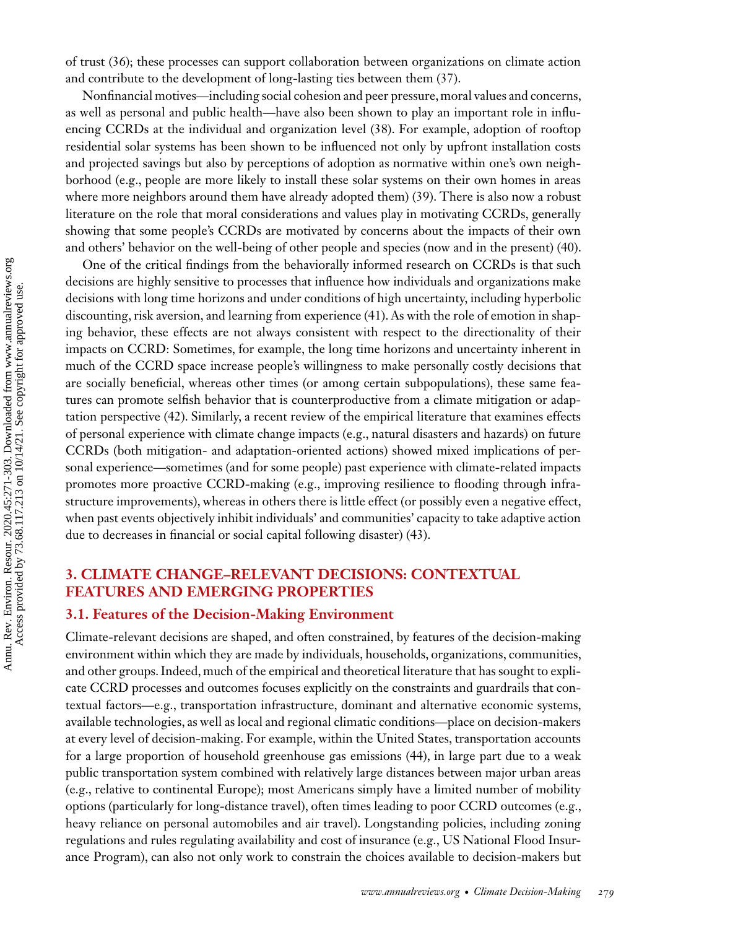of trust [\(36\)](#page-26-0); these processes can support collaboration between organizations on climate action and contribute to the development of long-lasting ties between them [\(37\)](#page-26-0).

Nonfinancial motives—including social cohesion and peer pressure, moral values and concerns, as well as personal and public health—have also been shown to play an important role in influencing CCRDs at the individual and organization level [\(38\)](#page-26-0). For example, adoption of rooftop residential solar systems has been shown to be influenced not only by upfront installation costs and projected savings but also by perceptions of adoption as normative within one's own neighborhood (e.g., people are more likely to install these solar systems on their own homes in areas where more neighbors around them have already adopted them) [\(39\)](#page-26-0). There is also now a robust literature on the role that moral considerations and values play in motivating CCRDs, generally showing that some people's CCRDs are motivated by concerns about the impacts of their own and others' behavior on the well-being of other people and species (now and in the present) [\(40\)](#page-26-0).

One of the critical findings from the behaviorally informed research on CCRDs is that such decisions are highly sensitive to processes that influence how individuals and organizations make decisions with long time horizons and under conditions of high uncertainty, including hyperbolic discounting, risk aversion, and learning from experience [\(41\)](#page-26-0). As with the role of emotion in shaping behavior, these effects are not always consistent with respect to the directionality of their impacts on CCRD: Sometimes, for example, the long time horizons and uncertainty inherent in much of the CCRD space increase people's willingness to make personally costly decisions that are socially beneficial, whereas other times (or among certain subpopulations), these same features can promote selfish behavior that is counterproductive from a climate mitigation or adaptation perspective [\(42\)](#page-26-0). Similarly, a recent review of the empirical literature that examines effects of personal experience with climate change impacts (e.g., natural disasters and hazards) on future CCRDs (both mitigation- and adaptation-oriented actions) showed mixed implications of personal experience—sometimes (and for some people) past experience with climate-related impacts promotes more proactive CCRD-making (e.g., improving resilience to flooding through infrastructure improvements), whereas in others there is little effect (or possibly even a negative effect, when past events objectively inhibit individuals' and communities' capacity to take adaptive action due to decreases in financial or social capital following disaster) [\(43\)](#page-26-0).

# **3. CLIMATE CHANGE–RELEVANT DECISIONS: CONTEXTUAL FEATURES AND EMERGING PROPERTIES**

#### **3.1. Features of the Decision-Making Environment**

Climate-relevant decisions are shaped, and often constrained, by features of the decision-making environment within which they are made by individuals, households, organizations, communities, and other groups. Indeed, much of the empirical and theoretical literature that has sought to explicate CCRD processes and outcomes focuses explicitly on the constraints and guardrails that contextual factors—e.g., transportation infrastructure, dominant and alternative economic systems, available technologies, as well as local and regional climatic conditions—place on decision-makers at every level of decision-making. For example, within the United States, transportation accounts for a large proportion of household greenhouse gas emissions [\(44\)](#page-26-0), in large part due to a weak public transportation system combined with relatively large distances between major urban areas (e.g., relative to continental Europe); most Americans simply have a limited number of mobility options (particularly for long-distance travel), often times leading to poor CCRD outcomes (e.g., heavy reliance on personal automobiles and air travel). Longstanding policies, including zoning regulations and rules regulating availability and cost of insurance (e.g., US National Flood Insurance Program), can also not only work to constrain the choices available to decision-makers but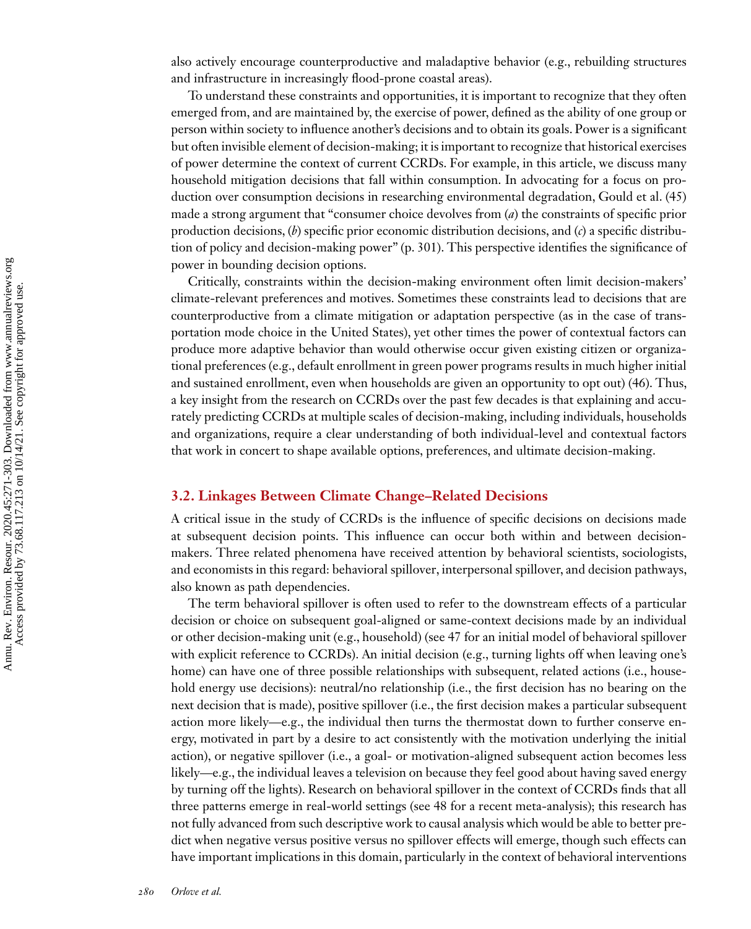also actively encourage counterproductive and maladaptive behavior (e.g., rebuilding structures and infrastructure in increasingly flood-prone coastal areas).

To understand these constraints and opportunities, it is important to recognize that they often emerged from, and are maintained by, the exercise of power, defined as the ability of one group or person within society to influence another's decisions and to obtain its goals. Power is a significant but often invisible element of decision-making; it is important to recognize that historical exercises of power determine the context of current CCRDs. For example, in this article, we discuss many household mitigation decisions that fall within consumption. In advocating for a focus on production over consumption decisions in researching environmental degradation, Gould et al. [\(45\)](#page-26-0) made a strong argument that "consumer choice devolves from (*a*) the constraints of specific prior production decisions, (*b*) specific prior economic distribution decisions, and (*c*) a specific distribution of policy and decision-making power" (p. 301). This perspective identifies the significance of power in bounding decision options.

Critically, constraints within the decision-making environment often limit decision-makers' climate-relevant preferences and motives. Sometimes these constraints lead to decisions that are counterproductive from a climate mitigation or adaptation perspective (as in the case of transportation mode choice in the United States), yet other times the power of contextual factors can produce more adaptive behavior than would otherwise occur given existing citizen or organizational preferences (e.g., default enrollment in green power programs results in much higher initial and sustained enrollment, even when households are given an opportunity to opt out) [\(46\)](#page-26-0). Thus, a key insight from the research on CCRDs over the past few decades is that explaining and accurately predicting CCRDs at multiple scales of decision-making, including individuals, households and organizations, require a clear understanding of both individual-level and contextual factors that work in concert to shape available options, preferences, and ultimate decision-making.

### **3.2. Linkages Between Climate Change–Related Decisions**

A critical issue in the study of CCRDs is the influence of specific decisions on decisions made at subsequent decision points. This influence can occur both within and between decisionmakers. Three related phenomena have received attention by behavioral scientists, sociologists, and economists in this regard: behavioral spillover, interpersonal spillover, and decision pathways, also known as path dependencies.

The term behavioral spillover is often used to refer to the downstream effects of a particular decision or choice on subsequent goal-aligned or same-context decisions made by an individual or other decision-making unit (e.g., household) (see [47](#page-26-0) for an initial model of behavioral spillover with explicit reference to CCRDs). An initial decision (e.g., turning lights off when leaving one's home) can have one of three possible relationships with subsequent, related actions (i.e., household energy use decisions): neutral/no relationship (i.e., the first decision has no bearing on the next decision that is made), positive spillover (i.e., the first decision makes a particular subsequent action more likely—e.g., the individual then turns the thermostat down to further conserve energy, motivated in part by a desire to act consistently with the motivation underlying the initial action), or negative spillover (i.e., a goal- or motivation-aligned subsequent action becomes less likely—e.g., the individual leaves a television on because they feel good about having saved energy by turning off the lights). Research on behavioral spillover in the context of CCRDs finds that all three patterns emerge in real-world settings (see [48](#page-26-0) for a recent meta-analysis); this research has not fully advanced from such descriptive work to causal analysis which would be able to better predict when negative versus positive versus no spillover effects will emerge, though such effects can have important implications in this domain, particularly in the context of behavioral interventions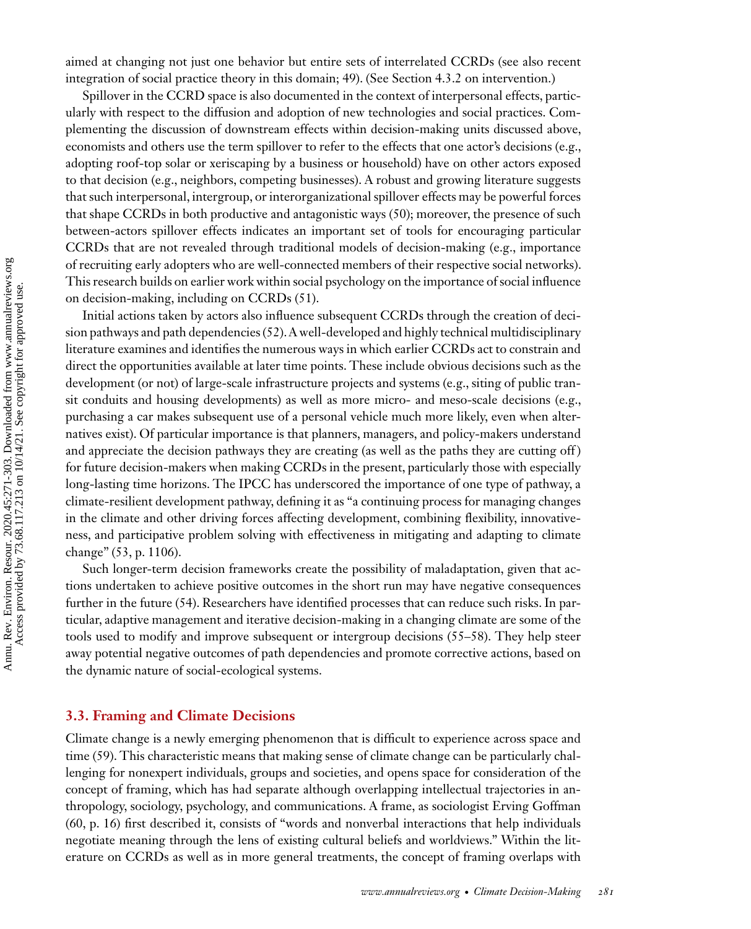aimed at changing not just one behavior but entire sets of interrelated CCRDs (see also recent integration of social practice theory in this domain; [49\)](#page-26-0). (See Section 4.3.2 on intervention.)

Spillover in the CCRD space is also documented in the context of interpersonal effects, particularly with respect to the diffusion and adoption of new technologies and social practices. Complementing the discussion of downstream effects within decision-making units discussed above, economists and others use the term spillover to refer to the effects that one actor's decisions (e.g., adopting roof-top solar or xeriscaping by a business or household) have on other actors exposed to that decision (e.g., neighbors, competing businesses). A robust and growing literature suggests that such interpersonal, intergroup, or interorganizational spillover effects may be powerful forces that shape CCRDs in both productive and antagonistic ways [\(50\)](#page-26-0); moreover, the presence of such between-actors spillover effects indicates an important set of tools for encouraging particular CCRDs that are not revealed through traditional models of decision-making (e.g., importance of recruiting early adopters who are well-connected members of their respective social networks). This research builds on earlier work within social psychology on the importance of social influence on decision-making, including on CCRDs [\(51\)](#page-26-0).

Initial actions taken by actors also influence subsequent CCRDs through the creation of decision pathways and path dependencies [\(52\)](#page-26-0). A well-developed and highly technical multidisciplinary literature examines and identifies the numerous ways in which earlier CCRDs act to constrain and direct the opportunities available at later time points. These include obvious decisions such as the development (or not) of large-scale infrastructure projects and systems (e.g., siting of public transit conduits and housing developments) as well as more micro- and meso-scale decisions (e.g., purchasing a car makes subsequent use of a personal vehicle much more likely, even when alternatives exist). Of particular importance is that planners, managers, and policy-makers understand and appreciate the decision pathways they are creating (as well as the paths they are cutting off) for future decision-makers when making CCRDs in the present, particularly those with especially long-lasting time horizons. The IPCC has underscored the importance of one type of pathway, a climate-resilient development pathway, defining it as "a continuing process for managing changes in the climate and other driving forces affecting development, combining flexibility, innovativeness, and participative problem solving with effectiveness in mitigating and adapting to climate change" [\(53,](#page-26-0) p. 1106).

Such longer-term decision frameworks create the possibility of maladaptation, given that actions undertaken to achieve positive outcomes in the short run may have negative consequences further in the future [\(54\)](#page-26-0). Researchers have identified processes that can reduce such risks. In particular, adaptive management and iterative decision-making in a changing climate are some of the tools used to modify and improve subsequent or intergroup decisions [\(55–](#page-26-0)[58\)](#page-27-0). They help steer away potential negative outcomes of path dependencies and promote corrective actions, based on the dynamic nature of social-ecological systems.

#### **3.3. Framing and Climate Decisions**

Climate change is a newly emerging phenomenon that is difficult to experience across space and time [\(59\)](#page-27-0). This characteristic means that making sense of climate change can be particularly challenging for nonexpert individuals, groups and societies, and opens space for consideration of the concept of framing, which has had separate although overlapping intellectual trajectories in anthropology, sociology, psychology, and communications. A frame, as sociologist Erving Goffman [\(60,](#page-27-0) p. 16) first described it, consists of "words and nonverbal interactions that help individuals negotiate meaning through the lens of existing cultural beliefs and worldviews." Within the literature on CCRDs as well as in more general treatments, the concept of framing overlaps with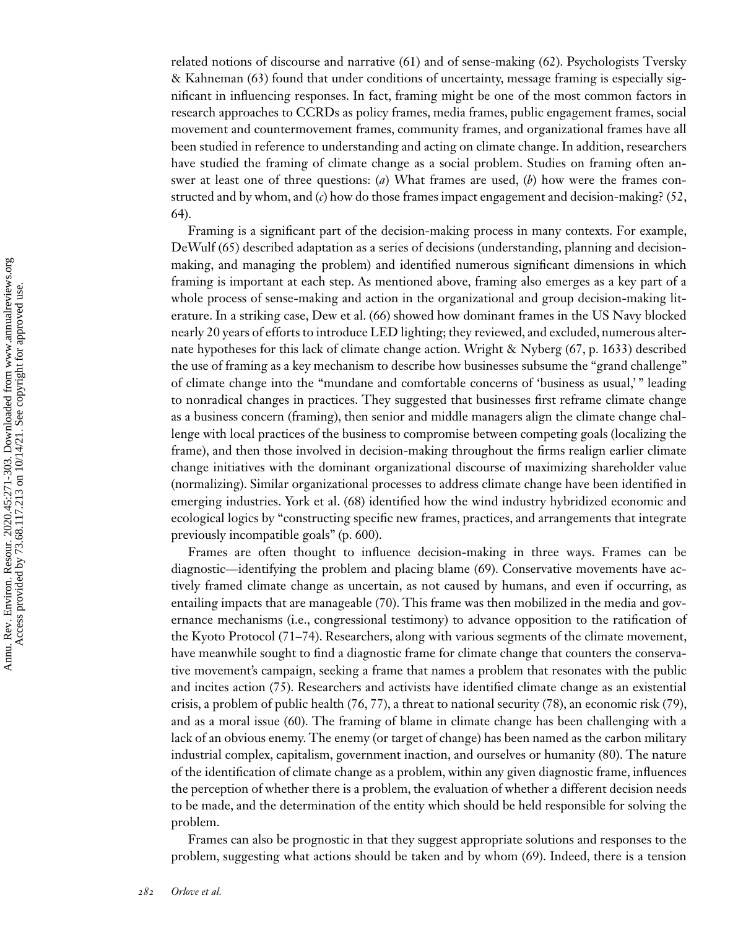related notions of discourse and narrative [\(61\)](#page-27-0) and of sense-making [\(62\)](#page-27-0). Psychologists Tversky & Kahneman [\(63\)](#page-27-0) found that under conditions of uncertainty, message framing is especially significant in influencing responses. In fact, framing might be one of the most common factors in research approaches to CCRDs as policy frames, media frames, public engagement frames, social movement and countermovement frames, community frames, and organizational frames have all been studied in reference to understanding and acting on climate change. In addition, researchers have studied the framing of climate change as a social problem. Studies on framing often answer at least one of three questions: (*a*) What frames are used, (*b*) how were the frames constructed and by whom, and (*c*) how do those frames impact engagement and decision-making? [\(52,](#page-26-0) [64\)](#page-27-0).

Framing is a significant part of the decision-making process in many contexts. For example, DeWulf [\(65\)](#page-27-0) described adaptation as a series of decisions (understanding, planning and decisionmaking, and managing the problem) and identified numerous significant dimensions in which framing is important at each step. As mentioned above, framing also emerges as a key part of a whole process of sense-making and action in the organizational and group decision-making literature. In a striking case, Dew et al. [\(66\)](#page-27-0) showed how dominant frames in the US Navy blocked nearly 20 years of efforts to introduce LED lighting; they reviewed, and excluded, numerous alternate hypotheses for this lack of climate change action. Wright & Nyberg [\(67,](#page-27-0) p. 1633) described the use of framing as a key mechanism to describe how businesses subsume the "grand challenge" of climate change into the "mundane and comfortable concerns of 'business as usual,' " leading to nonradical changes in practices. They suggested that businesses first reframe climate change as a business concern (framing), then senior and middle managers align the climate change challenge with local practices of the business to compromise between competing goals (localizing the frame), and then those involved in decision-making throughout the firms realign earlier climate change initiatives with the dominant organizational discourse of maximizing shareholder value (normalizing). Similar organizational processes to address climate change have been identified in emerging industries. York et al. [\(68\)](#page-27-0) identified how the wind industry hybridized economic and ecological logics by "constructing specific new frames, practices, and arrangements that integrate previously incompatible goals" (p. 600).

Frames are often thought to influence decision-making in three ways. Frames can be diagnostic—identifying the problem and placing blame [\(69\)](#page-27-0). Conservative movements have actively framed climate change as uncertain, as not caused by humans, and even if occurring, as entailing impacts that are manageable [\(70\)](#page-27-0). This frame was then mobilized in the media and governance mechanisms (i.e., congressional testimony) to advance opposition to the ratification of the Kyoto Protocol [\(71–74\)](#page-27-0). Researchers, along with various segments of the climate movement, have meanwhile sought to find a diagnostic frame for climate change that counters the conservative movement's campaign, seeking a frame that names a problem that resonates with the public and incites action [\(75\)](#page-27-0). Researchers and activists have identified climate change as an existential crisis, a problem of public health [\(76, 77\)](#page-27-0), a threat to national security [\(78\)](#page-27-0), an economic risk [\(79\)](#page-27-0), and as a moral issue [\(60\)](#page-27-0). The framing of blame in climate change has been challenging with a lack of an obvious enemy. The enemy (or target of change) has been named as the carbon military industrial complex, capitalism, government inaction, and ourselves or humanity [\(80\)](#page-27-0). The nature of the identification of climate change as a problem, within any given diagnostic frame, influences the perception of whether there is a problem, the evaluation of whether a different decision needs to be made, and the determination of the entity which should be held responsible for solving the problem.

Frames can also be prognostic in that they suggest appropriate solutions and responses to the problem, suggesting what actions should be taken and by whom [\(69\)](#page-27-0). Indeed, there is a tension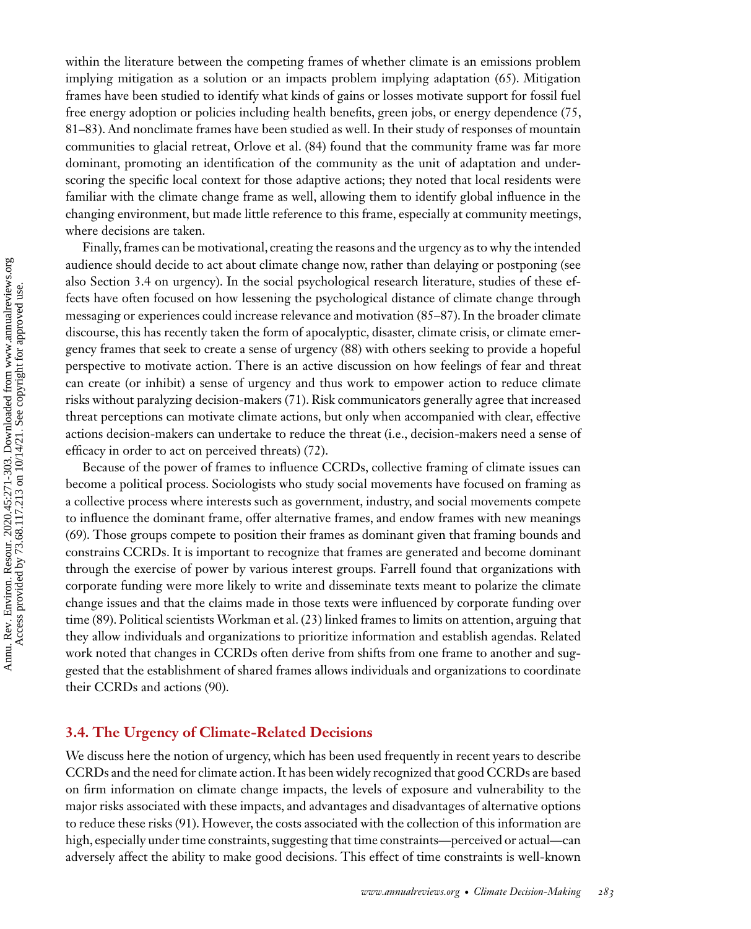within the literature between the competing frames of whether climate is an emissions problem implying mitigation as a solution or an impacts problem implying adaptation [\(65\)](#page-27-0). Mitigation frames have been studied to identify what kinds of gains or losses motivate support for fossil fuel free energy adoption or policies including health benefits, green jobs, or energy dependence [\(75,](#page-27-0) [81–83\)](#page-27-0). And nonclimate frames have been studied as well. In their study of responses of mountain communities to glacial retreat, Orlove et al. [\(84\)](#page-28-0) found that the community frame was far more dominant, promoting an identification of the community as the unit of adaptation and underscoring the specific local context for those adaptive actions; they noted that local residents were familiar with the climate change frame as well, allowing them to identify global influence in the changing environment, but made little reference to this frame, especially at community meetings, where decisions are taken.

Finally, frames can be motivational, creating the reasons and the urgency as to why the intended audience should decide to act about climate change now, rather than delaying or postponing (see also Section 3.4 on urgency). In the social psychological research literature, studies of these effects have often focused on how lessening the psychological distance of climate change through messaging or experiences could increase relevance and motivation [\(85–87\)](#page-28-0). In the broader climate discourse, this has recently taken the form of apocalyptic, disaster, climate crisis, or climate emergency frames that seek to create a sense of urgency [\(88\)](#page-28-0) with others seeking to provide a hopeful perspective to motivate action. There is an active discussion on how feelings of fear and threat can create (or inhibit) a sense of urgency and thus work to empower action to reduce climate risks without paralyzing decision-makers [\(71\)](#page-27-0). Risk communicators generally agree that increased threat perceptions can motivate climate actions, but only when accompanied with clear, effective actions decision-makers can undertake to reduce the threat (i.e., decision-makers need a sense of efficacy in order to act on perceived threats) [\(72\)](#page-27-0).

Because of the power of frames to influence CCRDs, collective framing of climate issues can become a political process. Sociologists who study social movements have focused on framing as a collective process where interests such as government, industry, and social movements compete to influence the dominant frame, offer alternative frames, and endow frames with new meanings [\(69\)](#page-27-0). Those groups compete to position their frames as dominant given that framing bounds and constrains CCRDs. It is important to recognize that frames are generated and become dominant through the exercise of power by various interest groups. Farrell found that organizations with corporate funding were more likely to write and disseminate texts meant to polarize the climate change issues and that the claims made in those texts were influenced by corporate funding over time [\(89\)](#page-28-0). Political scientists Workman et al. [\(23\)](#page-25-0) linked frames to limits on attention, arguing that they allow individuals and organizations to prioritize information and establish agendas. Related work noted that changes in CCRDs often derive from shifts from one frame to another and suggested that the establishment of shared frames allows individuals and organizations to coordinate their CCRDs and actions [\(90\)](#page-28-0).

#### **3.4. The Urgency of Climate-Related Decisions**

We discuss here the notion of urgency, which has been used frequently in recent years to describe CCRDs and the need for climate action. It has been widely recognized that good CCRDs are based on firm information on climate change impacts, the levels of exposure and vulnerability to the major risks associated with these impacts, and advantages and disadvantages of alternative options to reduce these risks [\(91\)](#page-28-0). However, the costs associated with the collection of this information are high, especially under time constraints, suggesting that time constraints—perceived or actual—can adversely affect the ability to make good decisions. This effect of time constraints is well-known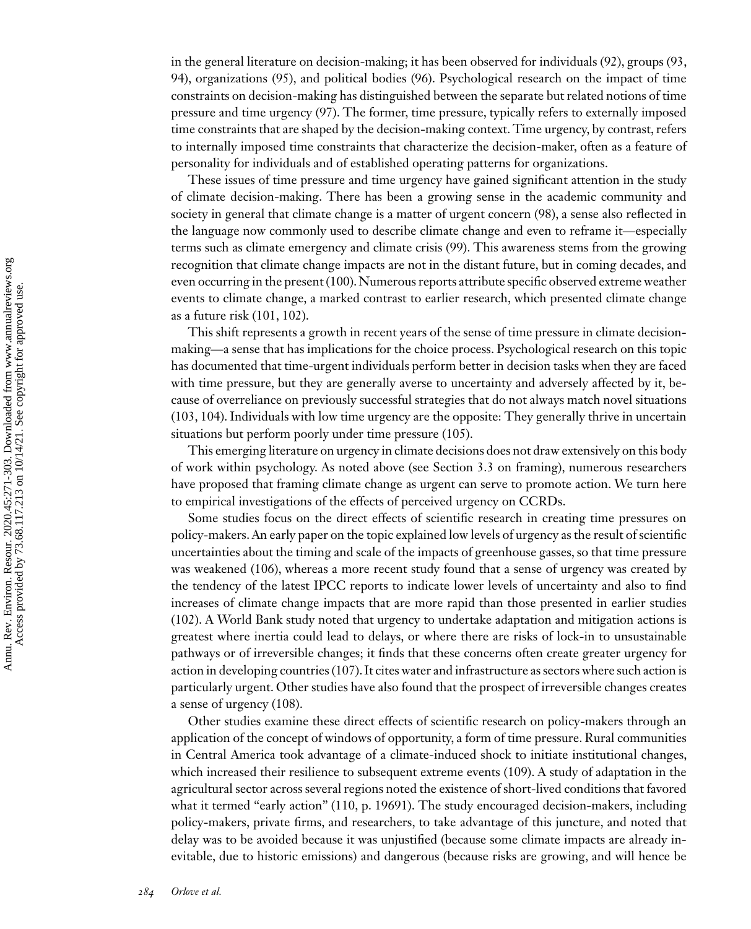in the general literature on decision-making; it has been observed for individuals [\(92\)](#page-28-0), groups [\(93,](#page-28-0) [94\)](#page-28-0), organizations [\(95\)](#page-28-0), and political bodies [\(96\)](#page-28-0). Psychological research on the impact of time constraints on decision-making has distinguished between the separate but related notions of time pressure and time urgency [\(97\)](#page-28-0). The former, time pressure, typically refers to externally imposed time constraints that are shaped by the decision-making context. Time urgency, by contrast, refers to internally imposed time constraints that characterize the decision-maker, often as a feature of personality for individuals and of established operating patterns for organizations.

These issues of time pressure and time urgency have gained significant attention in the study of climate decision-making. There has been a growing sense in the academic community and society in general that climate change is a matter of urgent concern [\(98\)](#page-28-0), a sense also reflected in the language now commonly used to describe climate change and even to reframe it—especially terms such as climate emergency and climate crisis [\(99\)](#page-28-0). This awareness stems from the growing recognition that climate change impacts are not in the distant future, but in coming decades, and even occurring in the present [\(100\)](#page-28-0). Numerous reports attribute specific observed extreme weather events to climate change, a marked contrast to earlier research, which presented climate change as a future risk [\(101, 102\)](#page-28-0).

This shift represents a growth in recent years of the sense of time pressure in climate decisionmaking—a sense that has implications for the choice process. Psychological research on this topic has documented that time-urgent individuals perform better in decision tasks when they are faced with time pressure, but they are generally averse to uncertainty and adversely affected by it, because of overreliance on previously successful strategies that do not always match novel situations [\(103, 104\)](#page-28-0). Individuals with low time urgency are the opposite: They generally thrive in uncertain situations but perform poorly under time pressure [\(105\)](#page-28-0).

This emerging literature on urgency in climate decisions does not draw extensively on this body of work within psychology. As noted above (see Section 3.3 on framing), numerous researchers have proposed that framing climate change as urgent can serve to promote action. We turn here to empirical investigations of the effects of perceived urgency on CCRDs.

Some studies focus on the direct effects of scientific research in creating time pressures on policy-makers. An early paper on the topic explained low levels of urgency as the result of scientific uncertainties about the timing and scale of the impacts of greenhouse gasses, so that time pressure was weakened [\(106\)](#page-28-0), whereas a more recent study found that a sense of urgency was created by the tendency of the latest IPCC reports to indicate lower levels of uncertainty and also to find increases of climate change impacts that are more rapid than those presented in earlier studies [\(102\)](#page-28-0). A World Bank study noted that urgency to undertake adaptation and mitigation actions is greatest where inertia could lead to delays, or where there are risks of lock-in to unsustainable pathways or of irreversible changes; it finds that these concerns often create greater urgency for action in developing countries [\(107\)](#page-28-0). It cites water and infrastructure as sectors where such action is particularly urgent. Other studies have also found that the prospect of irreversible changes creates a sense of urgency [\(108\)](#page-28-0).

Other studies examine these direct effects of scientific research on policy-makers through an application of the concept of windows of opportunity, a form of time pressure. Rural communities in Central America took advantage of a climate-induced shock to initiate institutional changes, which increased their resilience to subsequent extreme events [\(109\)](#page-29-0). A study of adaptation in the agricultural sector across several regions noted the existence of short-lived conditions that favored what it termed "early action" [\(110,](#page-29-0) p. 19691). The study encouraged decision-makers, including policy-makers, private firms, and researchers, to take advantage of this juncture, and noted that delay was to be avoided because it was unjustified (because some climate impacts are already inevitable, due to historic emissions) and dangerous (because risks are growing, and will hence be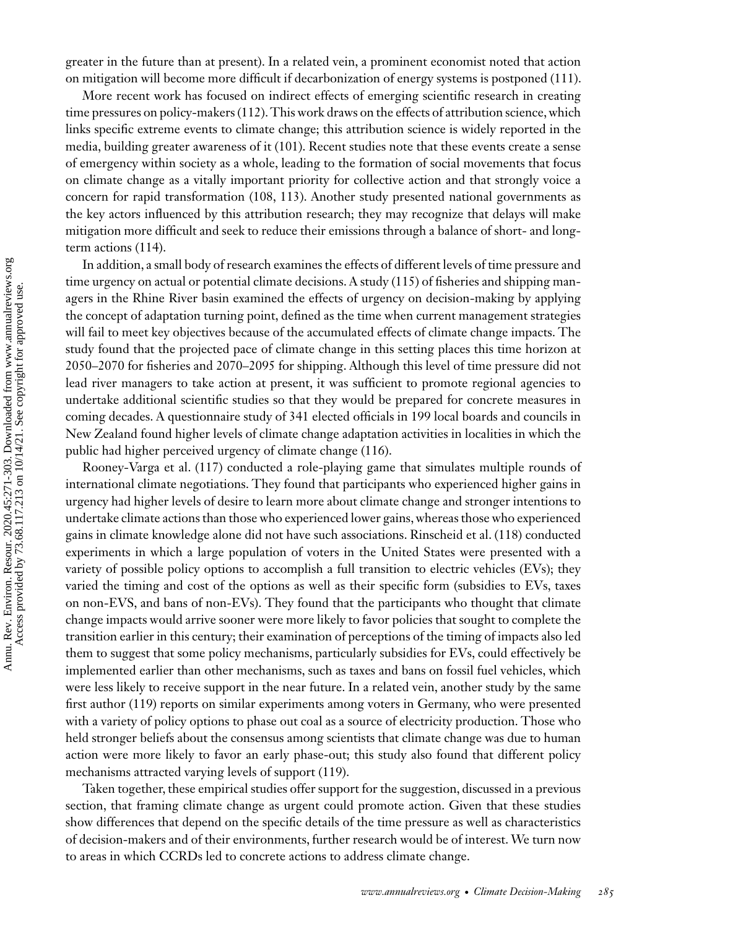greater in the future than at present). In a related vein, a prominent economist noted that action on mitigation will become more difficult if decarbonization of energy systems is postponed [\(111\)](#page-29-0).

More recent work has focused on indirect effects of emerging scientific research in creating time pressures on policy-makers [\(112\)](#page-29-0). This work draws on the effects of attribution science, which links specific extreme events to climate change; this attribution science is widely reported in the media, building greater awareness of it [\(101\)](#page-28-0). Recent studies note that these events create a sense of emergency within society as a whole, leading to the formation of social movements that focus on climate change as a vitally important priority for collective action and that strongly voice a concern for rapid transformation [\(108,](#page-28-0) [113\)](#page-29-0). Another study presented national governments as the key actors influenced by this attribution research; they may recognize that delays will make mitigation more difficult and seek to reduce their emissions through a balance of short- and longterm actions [\(114\)](#page-29-0).

In addition, a small body of research examines the effects of different levels of time pressure and time urgency on actual or potential climate decisions. A study [\(115\)](#page-29-0) of fisheries and shipping managers in the Rhine River basin examined the effects of urgency on decision-making by applying the concept of adaptation turning point, defined as the time when current management strategies will fail to meet key objectives because of the accumulated effects of climate change impacts. The study found that the projected pace of climate change in this setting places this time horizon at 2050–2070 for fisheries and 2070–2095 for shipping. Although this level of time pressure did not lead river managers to take action at present, it was sufficient to promote regional agencies to undertake additional scientific studies so that they would be prepared for concrete measures in coming decades. A questionnaire study of 341 elected officials in 199 local boards and councils in New Zealand found higher levels of climate change adaptation activities in localities in which the public had higher perceived urgency of climate change [\(116\)](#page-29-0).

Rooney-Varga et al. [\(117\)](#page-29-0) conducted a role-playing game that simulates multiple rounds of international climate negotiations. They found that participants who experienced higher gains in urgency had higher levels of desire to learn more about climate change and stronger intentions to undertake climate actions than those who experienced lower gains, whereas those who experienced gains in climate knowledge alone did not have such associations. Rinscheid et al. [\(118\)](#page-29-0) conducted experiments in which a large population of voters in the United States were presented with a variety of possible policy options to accomplish a full transition to electric vehicles (EVs); they varied the timing and cost of the options as well as their specific form (subsidies to EVs, taxes on non-EVS, and bans of non-EVs). They found that the participants who thought that climate change impacts would arrive sooner were more likely to favor policies that sought to complete the transition earlier in this century; their examination of perceptions of the timing of impacts also led them to suggest that some policy mechanisms, particularly subsidies for EVs, could effectively be implemented earlier than other mechanisms, such as taxes and bans on fossil fuel vehicles, which were less likely to receive support in the near future. In a related vein, another study by the same first author [\(119\)](#page-29-0) reports on similar experiments among voters in Germany, who were presented with a variety of policy options to phase out coal as a source of electricity production. Those who held stronger beliefs about the consensus among scientists that climate change was due to human action were more likely to favor an early phase-out; this study also found that different policy mechanisms attracted varying levels of support [\(119\)](#page-29-0).

Taken together, these empirical studies offer support for the suggestion, discussed in a previous section, that framing climate change as urgent could promote action. Given that these studies show differences that depend on the specific details of the time pressure as well as characteristics of decision-makers and of their environments, further research would be of interest. We turn now to areas in which CCRDs led to concrete actions to address climate change.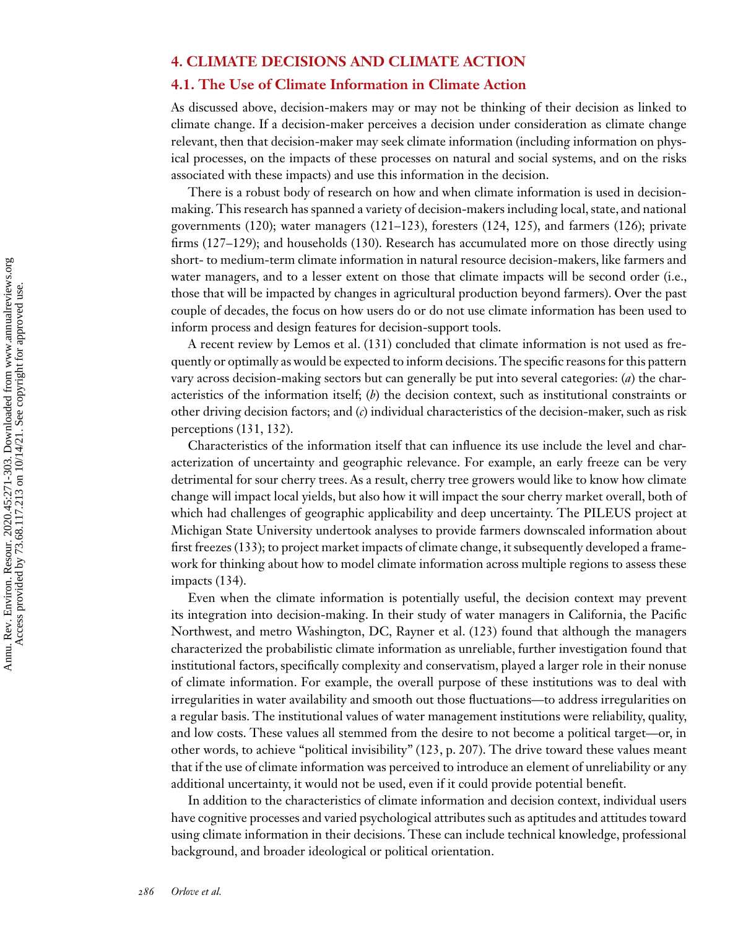# **4. CLIMATE DECISIONS AND CLIMATE ACTION**

#### **4.1. The Use of Climate Information in Climate Action**

As discussed above, decision-makers may or may not be thinking of their decision as linked to climate change. If a decision-maker perceives a decision under consideration as climate change relevant, then that decision-maker may seek climate information (including information on physical processes, on the impacts of these processes on natural and social systems, and on the risks associated with these impacts) and use this information in the decision.

There is a robust body of research on how and when climate information is used in decisionmaking. This research has spanned a variety of decision-makers including local, state, and national governments [\(120\)](#page-29-0); water managers [\(121–123\)](#page-29-0), foresters [\(124, 125\)](#page-29-0), and farmers [\(126\)](#page-29-0); private firms [\(127–129\)](#page-29-0); and households [\(130\)](#page-29-0). Research has accumulated more on those directly using short- to medium-term climate information in natural resource decision-makers, like farmers and water managers, and to a lesser extent on those that climate impacts will be second order (i.e., those that will be impacted by changes in agricultural production beyond farmers). Over the past couple of decades, the focus on how users do or do not use climate information has been used to inform process and design features for decision-support tools.

A recent review by Lemos et al. [\(131\)](#page-29-0) concluded that climate information is not used as frequently or optimally as would be expected to inform decisions. The specific reasons for this pattern vary across decision-making sectors but can generally be put into several categories: (*a*) the characteristics of the information itself; (*b*) the decision context, such as institutional constraints or other driving decision factors; and (*c*) individual characteristics of the decision-maker, such as risk perceptions [\(131,](#page-29-0) [132\)](#page-30-0).

Characteristics of the information itself that can influence its use include the level and characterization of uncertainty and geographic relevance. For example, an early freeze can be very detrimental for sour cherry trees. As a result, cherry tree growers would like to know how climate change will impact local yields, but also how it will impact the sour cherry market overall, both of which had challenges of geographic applicability and deep uncertainty. The PILEUS project at Michigan State University undertook analyses to provide farmers downscaled information about first freezes [\(133\)](#page-30-0); to project market impacts of climate change, it subsequently developed a framework for thinking about how to model climate information across multiple regions to assess these impacts [\(134\)](#page-30-0).

Even when the climate information is potentially useful, the decision context may prevent its integration into decision-making. In their study of water managers in California, the Pacific Northwest, and metro Washington, DC, Rayner et al. [\(123\)](#page-29-0) found that although the managers characterized the probabilistic climate information as unreliable, further investigation found that institutional factors, specifically complexity and conservatism, played a larger role in their nonuse of climate information. For example, the overall purpose of these institutions was to deal with irregularities in water availability and smooth out those fluctuations—to address irregularities on a regular basis. The institutional values of water management institutions were reliability, quality, and low costs. These values all stemmed from the desire to not become a political target—or, in other words, to achieve "political invisibility" [\(123,](#page-29-0) p. 207). The drive toward these values meant that if the use of climate information was perceived to introduce an element of unreliability or any additional uncertainty, it would not be used, even if it could provide potential benefit.

In addition to the characteristics of climate information and decision context, individual users have cognitive processes and varied psychological attributes such as aptitudes and attitudes toward using climate information in their decisions. These can include technical knowledge, professional background, and broader ideological or political orientation.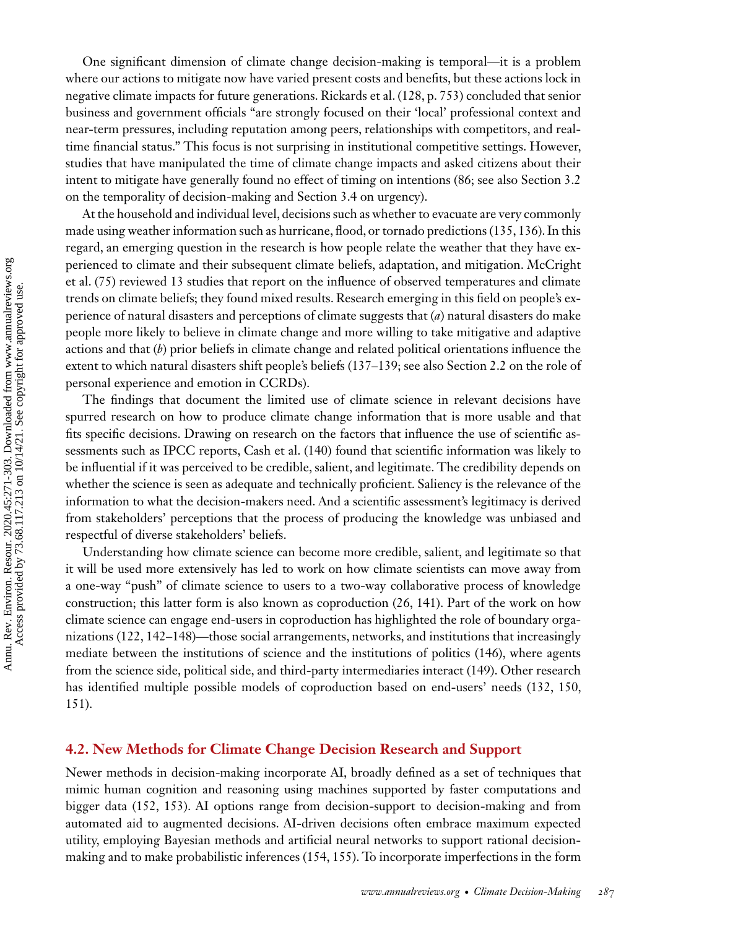One significant dimension of climate change decision-making is temporal—it is a problem where our actions to mitigate now have varied present costs and benefits, but these actions lock in negative climate impacts for future generations. Rickards et al. [\(128,](#page-29-0) p. 753) concluded that senior business and government officials "are strongly focused on their 'local' professional context and near-term pressures, including reputation among peers, relationships with competitors, and realtime financial status." This focus is not surprising in institutional competitive settings. However, studies that have manipulated the time of climate change impacts and asked citizens about their intent to mitigate have generally found no effect of timing on intentions [\(86;](#page-28-0) see also Section 3.2 on the temporality of decision-making and Section 3.4 on urgency).

At the household and individual level, decisions such as whether to evacuate are very commonly made using weather information such as hurricane, flood, or tornado predictions [\(135, 136\)](#page-30-0). In this regard, an emerging question in the research is how people relate the weather that they have experienced to climate and their subsequent climate beliefs, adaptation, and mitigation. McCright et al. [\(75\)](#page-27-0) reviewed 13 studies that report on the influence of observed temperatures and climate trends on climate beliefs; they found mixed results. Research emerging in this field on people's experience of natural disasters and perceptions of climate suggests that (*a*) natural disasters do make people more likely to believe in climate change and more willing to take mitigative and adaptive actions and that (*b*) prior beliefs in climate change and related political orientations influence the extent to which natural disasters shift people's beliefs [\(137–139;](#page-30-0) see also Section 2.2 on the role of personal experience and emotion in CCRDs).

The findings that document the limited use of climate science in relevant decisions have spurred research on how to produce climate change information that is more usable and that fits specific decisions. Drawing on research on the factors that influence the use of scientific assessments such as IPCC reports, Cash et al. [\(140\)](#page-30-0) found that scientific information was likely to be influential if it was perceived to be credible, salient, and legitimate. The credibility depends on whether the science is seen as adequate and technically proficient. Saliency is the relevance of the information to what the decision-makers need. And a scientific assessment's legitimacy is derived from stakeholders' perceptions that the process of producing the knowledge was unbiased and respectful of diverse stakeholders' beliefs.

Understanding how climate science can become more credible, salient, and legitimate so that it will be used more extensively has led to work on how climate scientists can move away from a one-way "push" of climate science to users to a two-way collaborative process of knowledge construction; this latter form is also known as coproduction [\(26,](#page-25-0) [141\)](#page-30-0). Part of the work on how climate science can engage end-users in coproduction has highlighted the role of boundary orga-nizations [\(122,](#page-29-0) [142–148\)](#page-30-0)—those social arrangements, networks, and institutions that increasingly mediate between the institutions of science and the institutions of politics [\(146\)](#page-30-0), where agents from the science side, political side, and third-party intermediaries interact [\(149\)](#page-30-0). Other research has identified multiple possible models of coproduction based on end-users' needs [\(132, 150,](#page-30-0) [151\)](#page-30-0).

#### **4.2. New Methods for Climate Change Decision Research and Support**

Newer methods in decision-making incorporate AI, broadly defined as a set of techniques that mimic human cognition and reasoning using machines supported by faster computations and bigger data [\(152, 153\)](#page-30-0). AI options range from decision-support to decision-making and from automated aid to augmented decisions. AI-driven decisions often embrace maximum expected utility, employing Bayesian methods and artificial neural networks to support rational decisionmaking and to make probabilistic inferences [\(154, 155\)](#page-30-0). To incorporate imperfections in the form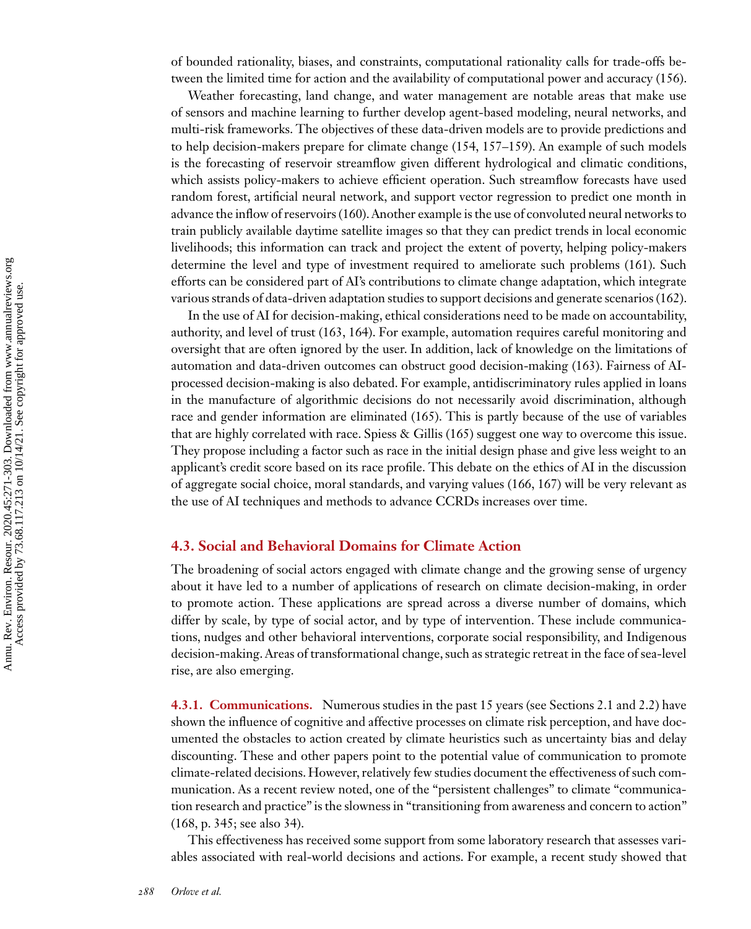of bounded rationality, biases, and constraints, computational rationality calls for trade-offs between the limited time for action and the availability of computational power and accuracy [\(156\)](#page-31-0).

Weather forecasting, land change, and water management are notable areas that make use of sensors and machine learning to further develop agent-based modeling, neural networks, and multi-risk frameworks. The objectives of these data-driven models are to provide predictions and to help decision-makers prepare for climate change [\(154,](#page-30-0) [157–159\)](#page-31-0). An example of such models is the forecasting of reservoir streamflow given different hydrological and climatic conditions, which assists policy-makers to achieve efficient operation. Such streamflow forecasts have used random forest, artificial neural network, and support vector regression to predict one month in advance the inflow of reservoirs [\(160\)](#page-31-0). Another example is the use of convoluted neural networks to train publicly available daytime satellite images so that they can predict trends in local economic livelihoods; this information can track and project the extent of poverty, helping policy-makers determine the level and type of investment required to ameliorate such problems [\(161\)](#page-31-0). Such efforts can be considered part of AI's contributions to climate change adaptation, which integrate various strands of data-driven adaptation studies to support decisions and generate scenarios [\(162\)](#page-31-0).

In the use of AI for decision-making, ethical considerations need to be made on accountability, authority, and level of trust [\(163, 164\)](#page-31-0). For example, automation requires careful monitoring and oversight that are often ignored by the user. In addition, lack of knowledge on the limitations of automation and data-driven outcomes can obstruct good decision-making [\(163\)](#page-31-0). Fairness of AIprocessed decision-making is also debated. For example, antidiscriminatory rules applied in loans in the manufacture of algorithmic decisions do not necessarily avoid discrimination, although race and gender information are eliminated [\(165\)](#page-31-0). This is partly because of the use of variables that are highly correlated with race. Spiess & Gillis [\(165\)](#page-31-0) suggest one way to overcome this issue. They propose including a factor such as race in the initial design phase and give less weight to an applicant's credit score based on its race profile. This debate on the ethics of AI in the discussion of aggregate social choice, moral standards, and varying values [\(166, 167\)](#page-31-0) will be very relevant as the use of AI techniques and methods to advance CCRDs increases over time.

#### **4.3. Social and Behavioral Domains for Climate Action**

The broadening of social actors engaged with climate change and the growing sense of urgency about it have led to a number of applications of research on climate decision-making, in order to promote action. These applications are spread across a diverse number of domains, which differ by scale, by type of social actor, and by type of intervention. These include communications, nudges and other behavioral interventions, corporate social responsibility, and Indigenous decision-making. Areas of transformational change, such as strategic retreat in the face of sea-level rise, are also emerging.

**4.3.1. Communications.** Numerous studies in the past 15 years (see Sections 2.1 and 2.2) have shown the influence of cognitive and affective processes on climate risk perception, and have documented the obstacles to action created by climate heuristics such as uncertainty bias and delay discounting. These and other papers point to the potential value of communication to promote climate-related decisions. However, relatively few studies document the effectiveness of such communication. As a recent review noted, one of the "persistent challenges" to climate "communication research and practice" is the slowness in "transitioning from awareness and concern to action" [\(168,](#page-31-0) p. 345; see also 34).

This effectiveness has received some support from some laboratory research that assesses variables associated with real-world decisions and actions. For example, a recent study showed that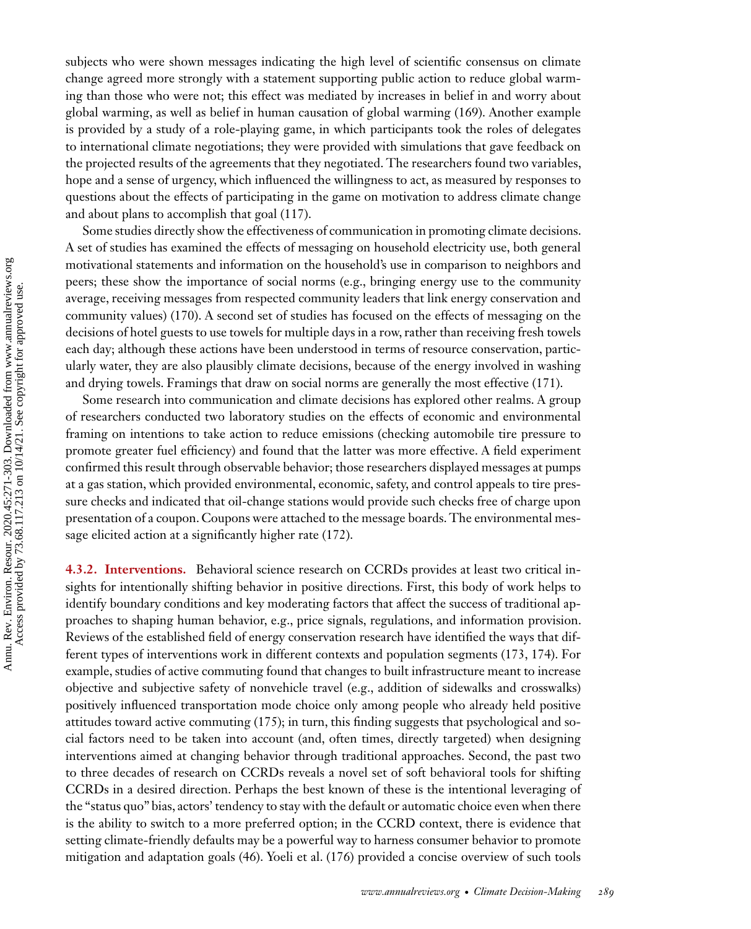subjects who were shown messages indicating the high level of scientific consensus on climate change agreed more strongly with a statement supporting public action to reduce global warming than those who were not; this effect was mediated by increases in belief in and worry about global warming, as well as belief in human causation of global warming [\(169\)](#page-31-0). Another example is provided by a study of a role-playing game, in which participants took the roles of delegates to international climate negotiations; they were provided with simulations that gave feedback on the projected results of the agreements that they negotiated. The researchers found two variables, hope and a sense of urgency, which influenced the willingness to act, as measured by responses to questions about the effects of participating in the game on motivation to address climate change and about plans to accomplish that goal [\(117\)](#page-29-0).

Some studies directly show the effectiveness of communication in promoting climate decisions. A set of studies has examined the effects of messaging on household electricity use, both general motivational statements and information on the household's use in comparison to neighbors and peers; these show the importance of social norms (e.g., bringing energy use to the community average, receiving messages from respected community leaders that link energy conservation and community values) [\(170\)](#page-31-0). A second set of studies has focused on the effects of messaging on the decisions of hotel guests to use towels for multiple days in a row, rather than receiving fresh towels each day; although these actions have been understood in terms of resource conservation, particularly water, they are also plausibly climate decisions, because of the energy involved in washing and drying towels. Framings that draw on social norms are generally the most effective [\(171\)](#page-31-0).

Some research into communication and climate decisions has explored other realms. A group of researchers conducted two laboratory studies on the effects of economic and environmental framing on intentions to take action to reduce emissions (checking automobile tire pressure to promote greater fuel efficiency) and found that the latter was more effective. A field experiment confirmed this result through observable behavior; those researchers displayed messages at pumps at a gas station, which provided environmental, economic, safety, and control appeals to tire pressure checks and indicated that oil-change stations would provide such checks free of charge upon presentation of a coupon. Coupons were attached to the message boards. The environmental message elicited action at a significantly higher rate [\(172\)](#page-31-0).

**4.3.2. Interventions.** Behavioral science research on CCRDs provides at least two critical insights for intentionally shifting behavior in positive directions. First, this body of work helps to identify boundary conditions and key moderating factors that affect the success of traditional approaches to shaping human behavior, e.g., price signals, regulations, and information provision. Reviews of the established field of energy conservation research have identified the ways that different types of interventions work in different contexts and population segments [\(173, 174\)](#page-31-0). For example, studies of active commuting found that changes to built infrastructure meant to increase objective and subjective safety of nonvehicle travel (e.g., addition of sidewalks and crosswalks) positively influenced transportation mode choice only among people who already held positive attitudes toward active commuting [\(175\)](#page-31-0); in turn, this finding suggests that psychological and social factors need to be taken into account (and, often times, directly targeted) when designing interventions aimed at changing behavior through traditional approaches. Second, the past two to three decades of research on CCRDs reveals a novel set of soft behavioral tools for shifting CCRDs in a desired direction. Perhaps the best known of these is the intentional leveraging of the "status quo" bias, actors' tendency to stay with the default or automatic choice even when there is the ability to switch to a more preferred option; in the CCRD context, there is evidence that setting climate-friendly defaults may be a powerful way to harness consumer behavior to promote mitigation and adaptation goals [\(46\)](#page-26-0). Yoeli et al. [\(176\)](#page-31-0) provided a concise overview of such tools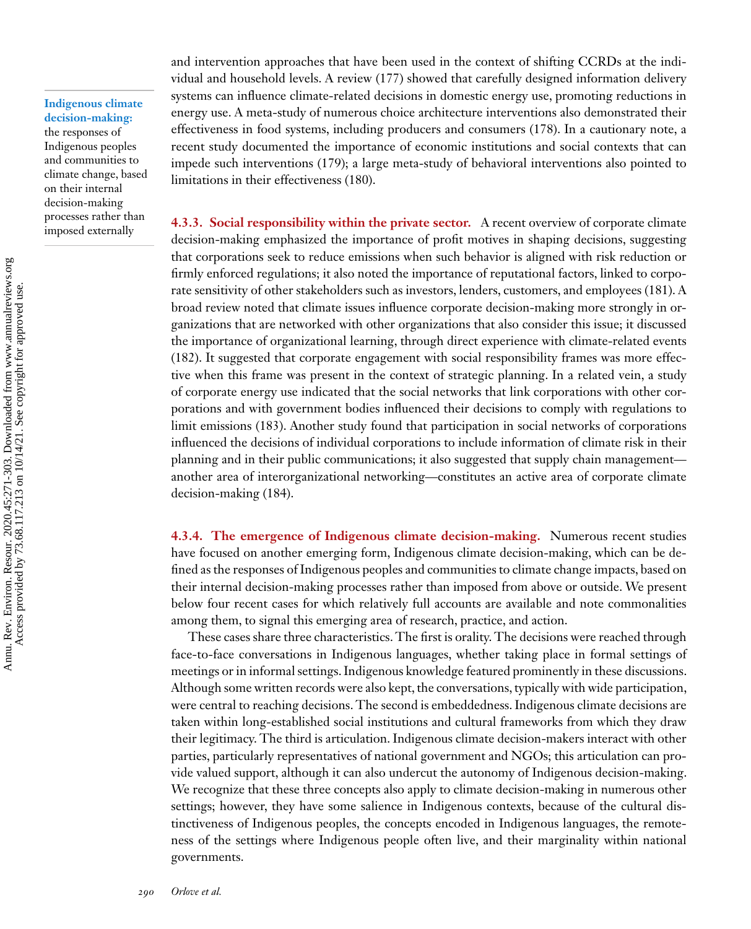#### **Indigenous climate decision-making:**

the responses of Indigenous peoples and communities to climate change, based on their internal decision-making processes rather than imposed externally

and intervention approaches that have been used in the context of shifting CCRDs at the individual and household levels. A review [\(177\)](#page-31-0) showed that carefully designed information delivery systems can influence climate-related decisions in domestic energy use, promoting reductions in energy use. A meta-study of numerous choice architecture interventions also demonstrated their effectiveness in food systems, including producers and consumers [\(178\)](#page-31-0). In a cautionary note, a recent study documented the importance of economic institutions and social contexts that can impede such interventions [\(179\)](#page-31-0); a large meta-study of behavioral interventions also pointed to limitations in their effectiveness [\(180\)](#page-31-0).

**4.3.3. Social responsibility within the private sector.** A recent overview of corporate climate decision-making emphasized the importance of profit motives in shaping decisions, suggesting that corporations seek to reduce emissions when such behavior is aligned with risk reduction or firmly enforced regulations; it also noted the importance of reputational factors, linked to corporate sensitivity of other stakeholders such as investors, lenders, customers, and employees [\(181\)](#page-31-0). A broad review noted that climate issues influence corporate decision-making more strongly in organizations that are networked with other organizations that also consider this issue; it discussed the importance of organizational learning, through direct experience with climate-related events [\(182\)](#page-32-0). It suggested that corporate engagement with social responsibility frames was more effective when this frame was present in the context of strategic planning. In a related vein, a study of corporate energy use indicated that the social networks that link corporations with other corporations and with government bodies influenced their decisions to comply with regulations to limit emissions [\(183\)](#page-32-0). Another study found that participation in social networks of corporations influenced the decisions of individual corporations to include information of climate risk in their planning and in their public communications; it also suggested that supply chain management another area of interorganizational networking—constitutes an active area of corporate climate decision-making [\(184\)](#page-32-0).

**4.3.4. The emergence of Indigenous climate decision-making.** Numerous recent studies have focused on another emerging form, Indigenous climate decision-making, which can be defined as the responses of Indigenous peoples and communities to climate change impacts, based on their internal decision-making processes rather than imposed from above or outside. We present below four recent cases for which relatively full accounts are available and note commonalities among them, to signal this emerging area of research, practice, and action.

These cases share three characteristics. The first is orality. The decisions were reached through face-to-face conversations in Indigenous languages, whether taking place in formal settings of meetings or in informal settings. Indigenous knowledge featured prominently in these discussions. Although some written records were also kept, the conversations, typically with wide participation, were central to reaching decisions. The second is embeddedness. Indigenous climate decisions are taken within long-established social institutions and cultural frameworks from which they draw their legitimacy. The third is articulation. Indigenous climate decision-makers interact with other parties, particularly representatives of national government and NGOs; this articulation can provide valued support, although it can also undercut the autonomy of Indigenous decision-making. We recognize that these three concepts also apply to climate decision-making in numerous other settings; however, they have some salience in Indigenous contexts, because of the cultural distinctiveness of Indigenous peoples, the concepts encoded in Indigenous languages, the remoteness of the settings where Indigenous people often live, and their marginality within national governments.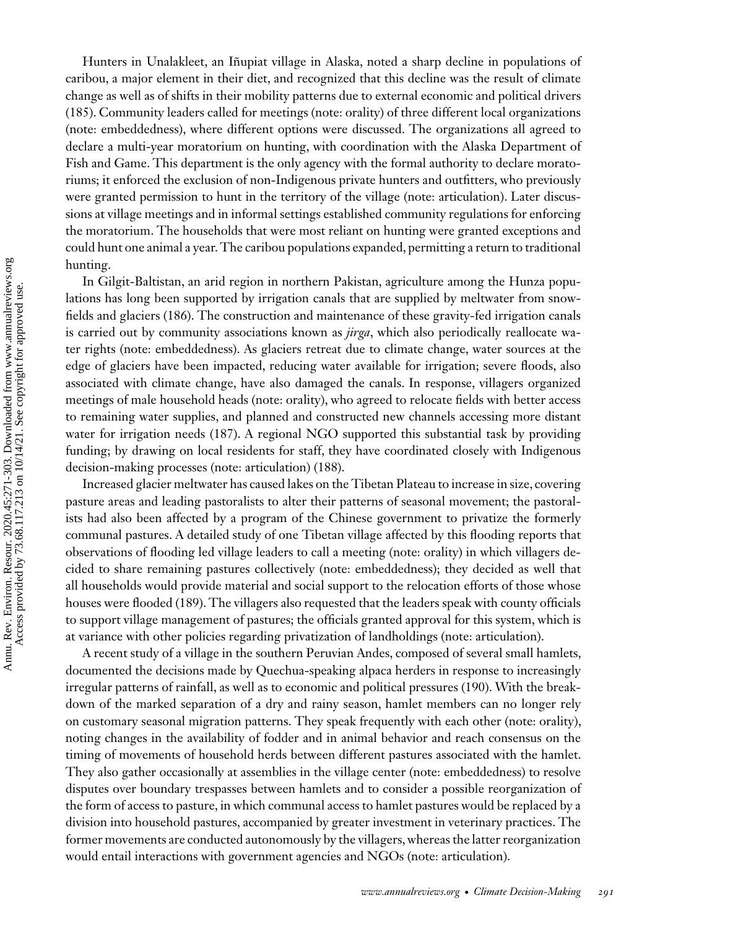Hunters in Unalakleet, an Iñupiat village in Alaska, noted a sharp decline in populations of caribou, a major element in their diet, and recognized that this decline was the result of climate change as well as of shifts in their mobility patterns due to external economic and political drivers [\(185\)](#page-32-0). Community leaders called for meetings (note: orality) of three different local organizations (note: embeddedness), where different options were discussed. The organizations all agreed to declare a multi-year moratorium on hunting, with coordination with the Alaska Department of Fish and Game. This department is the only agency with the formal authority to declare moratoriums; it enforced the exclusion of non-Indigenous private hunters and outfitters, who previously were granted permission to hunt in the territory of the village (note: articulation). Later discussions at village meetings and in informal settings established community regulations for enforcing the moratorium. The households that were most reliant on hunting were granted exceptions and could hunt one animal a year. The caribou populations expanded, permitting a return to traditional hunting.

In Gilgit-Baltistan, an arid region in northern Pakistan, agriculture among the Hunza populations has long been supported by irrigation canals that are supplied by meltwater from snowfields and glaciers [\(186\)](#page-32-0). The construction and maintenance of these gravity-fed irrigation canals is carried out by community associations known as *jirga*, which also periodically reallocate water rights (note: embeddedness). As glaciers retreat due to climate change, water sources at the edge of glaciers have been impacted, reducing water available for irrigation; severe floods, also associated with climate change, have also damaged the canals. In response, villagers organized meetings of male household heads (note: orality), who agreed to relocate fields with better access to remaining water supplies, and planned and constructed new channels accessing more distant water for irrigation needs [\(187\)](#page-32-0). A regional NGO supported this substantial task by providing funding; by drawing on local residents for staff, they have coordinated closely with Indigenous decision-making processes (note: articulation) [\(188\)](#page-32-0).

Increased glacier meltwater has caused lakes on the Tibetan Plateau to increase in size, covering pasture areas and leading pastoralists to alter their patterns of seasonal movement; the pastoralists had also been affected by a program of the Chinese government to privatize the formerly communal pastures. A detailed study of one Tibetan village affected by this flooding reports that observations of flooding led village leaders to call a meeting (note: orality) in which villagers decided to share remaining pastures collectively (note: embeddedness); they decided as well that all households would provide material and social support to the relocation efforts of those whose houses were flooded [\(189\)](#page-32-0). The villagers also requested that the leaders speak with county officials to support village management of pastures; the officials granted approval for this system, which is at variance with other policies regarding privatization of landholdings (note: articulation).

A recent study of a village in the southern Peruvian Andes, composed of several small hamlets, documented the decisions made by Quechua-speaking alpaca herders in response to increasingly irregular patterns of rainfall, as well as to economic and political pressures [\(190\)](#page-32-0). With the breakdown of the marked separation of a dry and rainy season, hamlet members can no longer rely on customary seasonal migration patterns. They speak frequently with each other (note: orality), noting changes in the availability of fodder and in animal behavior and reach consensus on the timing of movements of household herds between different pastures associated with the hamlet. They also gather occasionally at assemblies in the village center (note: embeddedness) to resolve disputes over boundary trespasses between hamlets and to consider a possible reorganization of the form of access to pasture, in which communal access to hamlet pastures would be replaced by a division into household pastures, accompanied by greater investment in veterinary practices. The former movements are conducted autonomously by the villagers, whereas the latter reorganization would entail interactions with government agencies and NGOs (note: articulation).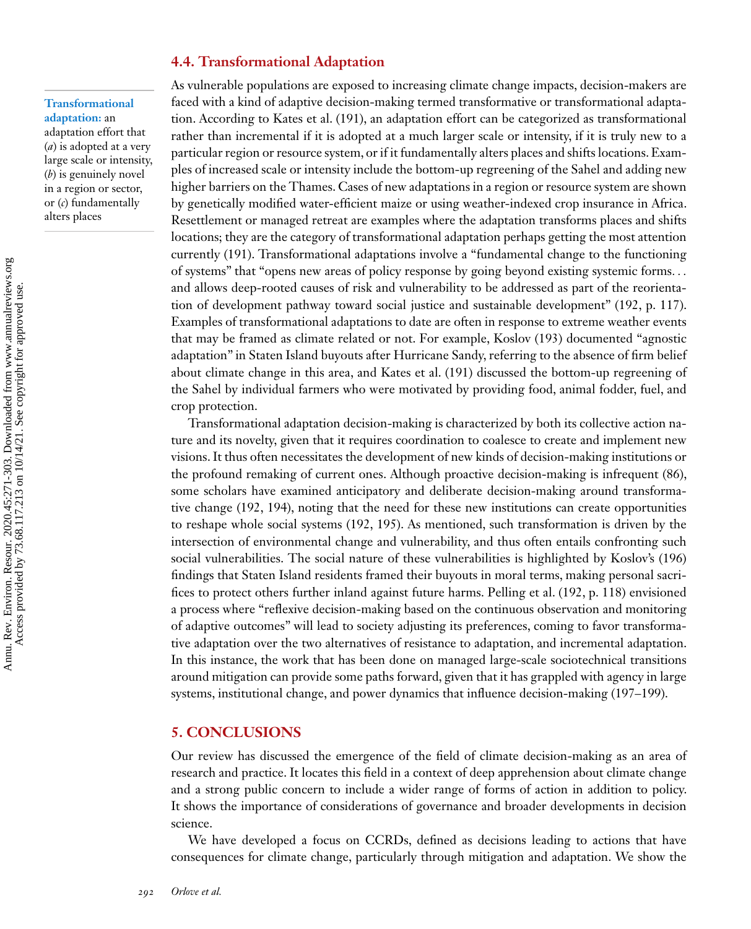#### **4.4. Transformational Adaptation**

**Transformational adaptation:** an adaptation effort that (*a*) is adopted at a very

large scale or intensity, (*b*) is genuinely novel in a region or sector, or (*c*) fundamentally alters places

As vulnerable populations are exposed to increasing climate change impacts, decision-makers are faced with a kind of adaptive decision-making termed transformative or transformational adaptation. According to Kates et al. [\(191\)](#page-32-0), an adaptation effort can be categorized as transformational rather than incremental if it is adopted at a much larger scale or intensity, if it is truly new to a particular region or resource system, or if it fundamentally alters places and shifts locations. Examples of increased scale or intensity include the bottom-up regreening of the Sahel and adding new higher barriers on the Thames. Cases of new adaptations in a region or resource system are shown by genetically modified water-efficient maize or using weather-indexed crop insurance in Africa. Resettlement or managed retreat are examples where the adaptation transforms places and shifts locations; they are the category of transformational adaptation perhaps getting the most attention currently [\(191\)](#page-32-0). Transformational adaptations involve a "fundamental change to the functioning of systems" that "opens new areas of policy response by going beyond existing systemic forms*...* and allows deep-rooted causes of risk and vulnerability to be addressed as part of the reorientation of development pathway toward social justice and sustainable development" [\(192,](#page-32-0) p. 117). Examples of transformational adaptations to date are often in response to extreme weather events that may be framed as climate related or not. For example, Koslov [\(193\)](#page-32-0) documented "agnostic adaptation" in Staten Island buyouts after Hurricane Sandy, referring to the absence of firm belief about climate change in this area, and Kates et al. [\(191\)](#page-32-0) discussed the bottom-up regreening of the Sahel by individual farmers who were motivated by providing food, animal fodder, fuel, and crop protection.

Transformational adaptation decision-making is characterized by both its collective action nature and its novelty, given that it requires coordination to coalesce to create and implement new visions. It thus often necessitates the development of new kinds of decision-making institutions or the profound remaking of current ones. Although proactive decision-making is infrequent [\(86\)](#page-28-0), some scholars have examined anticipatory and deliberate decision-making around transformative change [\(192, 194\)](#page-32-0), noting that the need for these new institutions can create opportunities to reshape whole social systems [\(192, 195\)](#page-32-0). As mentioned, such transformation is driven by the intersection of environmental change and vulnerability, and thus often entails confronting such social vulnerabilities. The social nature of these vulnerabilities is highlighted by Koslov's [\(196\)](#page-32-0) findings that Staten Island residents framed their buyouts in moral terms, making personal sacrifices to protect others further inland against future harms. Pelling et al. [\(192,](#page-32-0) p. 118) envisioned a process where "reflexive decision-making based on the continuous observation and monitoring of adaptive outcomes" will lead to society adjusting its preferences, coming to favor transformative adaptation over the two alternatives of resistance to adaptation, and incremental adaptation. In this instance, the work that has been done on managed large-scale sociotechnical transitions around mitigation can provide some paths forward, given that it has grappled with agency in large systems, institutional change, and power dynamics that influence decision-making [\(197–199\)](#page-32-0).

#### **5. CONCLUSIONS**

Our review has discussed the emergence of the field of climate decision-making as an area of research and practice. It locates this field in a context of deep apprehension about climate change and a strong public concern to include a wider range of forms of action in addition to policy. It shows the importance of considerations of governance and broader developments in decision science.

We have developed a focus on CCRDs, defined as decisions leading to actions that have consequences for climate change, particularly through mitigation and adaptation. We show the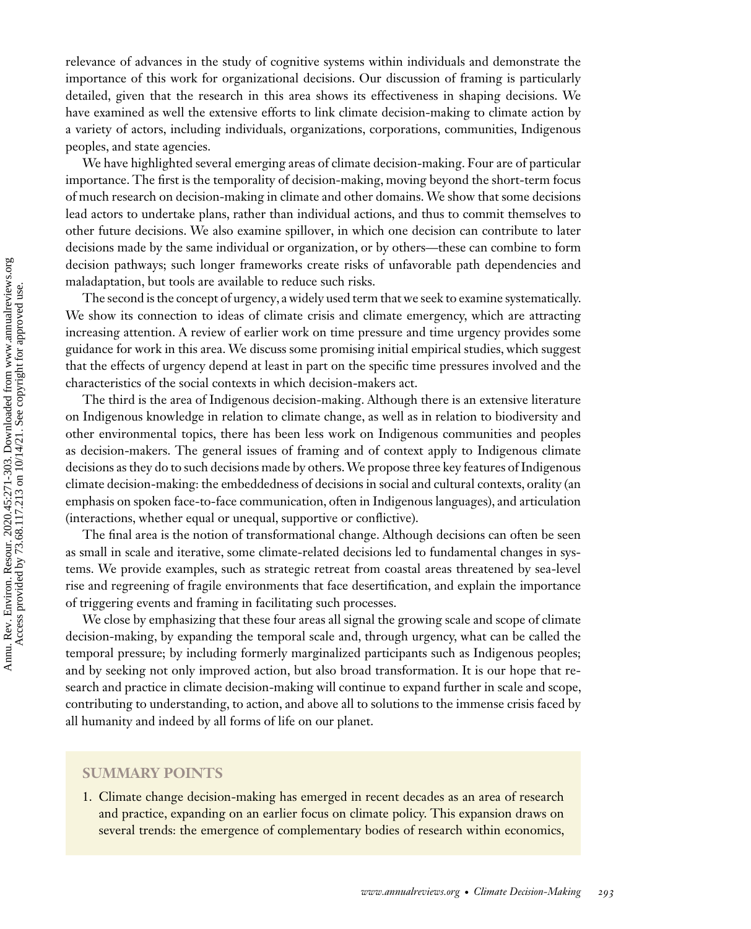relevance of advances in the study of cognitive systems within individuals and demonstrate the importance of this work for organizational decisions. Our discussion of framing is particularly detailed, given that the research in this area shows its effectiveness in shaping decisions. We have examined as well the extensive efforts to link climate decision-making to climate action by a variety of actors, including individuals, organizations, corporations, communities, Indigenous peoples, and state agencies.

We have highlighted several emerging areas of climate decision-making. Four are of particular importance. The first is the temporality of decision-making, moving beyond the short-term focus of much research on decision-making in climate and other domains.We show that some decisions lead actors to undertake plans, rather than individual actions, and thus to commit themselves to other future decisions. We also examine spillover, in which one decision can contribute to later decisions made by the same individual or organization, or by others—these can combine to form decision pathways; such longer frameworks create risks of unfavorable path dependencies and maladaptation, but tools are available to reduce such risks.

The second is the concept of urgency, a widely used term that we seek to examine systematically. We show its connection to ideas of climate crisis and climate emergency, which are attracting increasing attention. A review of earlier work on time pressure and time urgency provides some guidance for work in this area. We discuss some promising initial empirical studies, which suggest that the effects of urgency depend at least in part on the specific time pressures involved and the characteristics of the social contexts in which decision-makers act.

The third is the area of Indigenous decision-making. Although there is an extensive literature on Indigenous knowledge in relation to climate change, as well as in relation to biodiversity and other environmental topics, there has been less work on Indigenous communities and peoples as decision-makers. The general issues of framing and of context apply to Indigenous climate decisions as they do to such decisions made by others.We propose three key features of Indigenous climate decision-making: the embeddedness of decisions in social and cultural contexts, orality (an emphasis on spoken face-to-face communication, often in Indigenous languages), and articulation (interactions, whether equal or unequal, supportive or conflictive).

The final area is the notion of transformational change. Although decisions can often be seen as small in scale and iterative, some climate-related decisions led to fundamental changes in systems. We provide examples, such as strategic retreat from coastal areas threatened by sea-level rise and regreening of fragile environments that face desertification, and explain the importance of triggering events and framing in facilitating such processes.

We close by emphasizing that these four areas all signal the growing scale and scope of climate decision-making, by expanding the temporal scale and, through urgency, what can be called the temporal pressure; by including formerly marginalized participants such as Indigenous peoples; and by seeking not only improved action, but also broad transformation. It is our hope that research and practice in climate decision-making will continue to expand further in scale and scope, contributing to understanding, to action, and above all to solutions to the immense crisis faced by all humanity and indeed by all forms of life on our planet.

#### **SUMMARY POINTS**

1. Climate change decision-making has emerged in recent decades as an area of research and practice, expanding on an earlier focus on climate policy. This expansion draws on several trends: the emergence of complementary bodies of research within economics,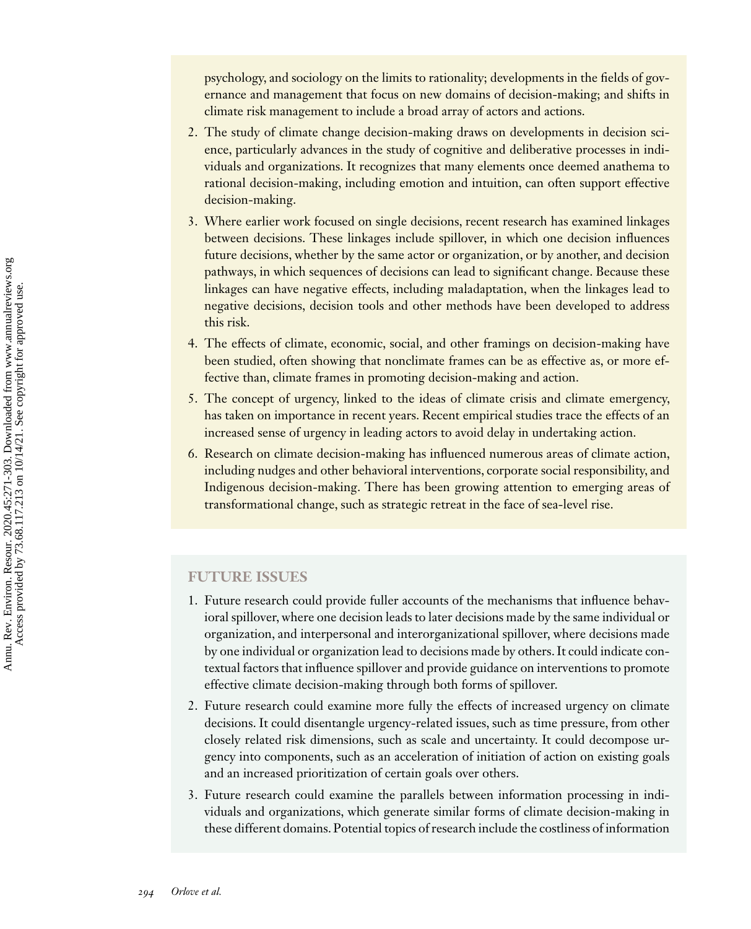psychology, and sociology on the limits to rationality; developments in the fields of governance and management that focus on new domains of decision-making; and shifts in climate risk management to include a broad array of actors and actions.

- 2. The study of climate change decision-making draws on developments in decision science, particularly advances in the study of cognitive and deliberative processes in individuals and organizations. It recognizes that many elements once deemed anathema to rational decision-making, including emotion and intuition, can often support effective decision-making.
- 3. Where earlier work focused on single decisions, recent research has examined linkages between decisions. These linkages include spillover, in which one decision influences future decisions, whether by the same actor or organization, or by another, and decision pathways, in which sequences of decisions can lead to significant change. Because these linkages can have negative effects, including maladaptation, when the linkages lead to negative decisions, decision tools and other methods have been developed to address this risk.
- 4. The effects of climate, economic, social, and other framings on decision-making have been studied, often showing that nonclimate frames can be as effective as, or more effective than, climate frames in promoting decision-making and action.
- 5. The concept of urgency, linked to the ideas of climate crisis and climate emergency, has taken on importance in recent years. Recent empirical studies trace the effects of an increased sense of urgency in leading actors to avoid delay in undertaking action.
- 6. Research on climate decision-making has influenced numerous areas of climate action, including nudges and other behavioral interventions, corporate social responsibility, and Indigenous decision-making. There has been growing attention to emerging areas of transformational change, such as strategic retreat in the face of sea-level rise.

#### **FUTURE ISSUES**

- 1. Future research could provide fuller accounts of the mechanisms that influence behavioral spillover, where one decision leads to later decisions made by the same individual or organization, and interpersonal and interorganizational spillover, where decisions made by one individual or organization lead to decisions made by others. It could indicate contextual factors that influence spillover and provide guidance on interventions to promote effective climate decision-making through both forms of spillover.
- 2. Future research could examine more fully the effects of increased urgency on climate decisions. It could disentangle urgency-related issues, such as time pressure, from other closely related risk dimensions, such as scale and uncertainty. It could decompose urgency into components, such as an acceleration of initiation of action on existing goals and an increased prioritization of certain goals over others.
- 3. Future research could examine the parallels between information processing in individuals and organizations, which generate similar forms of climate decision-making in these different domains. Potential topics of research include the costliness of information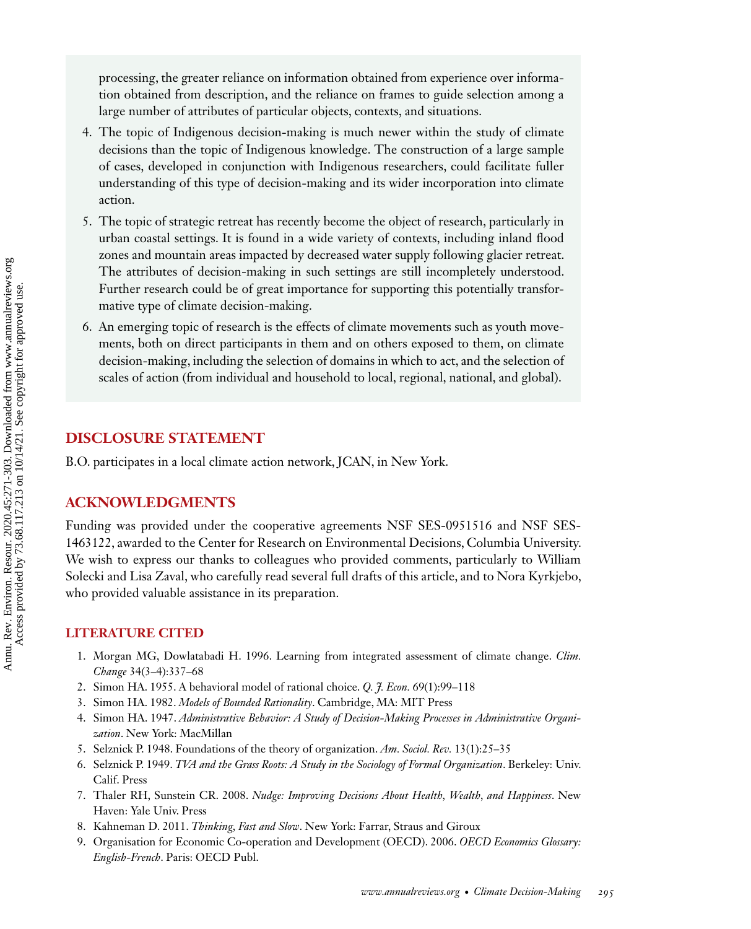<span id="page-24-0"></span>processing, the greater reliance on information obtained from experience over information obtained from description, and the reliance on frames to guide selection among a large number of attributes of particular objects, contexts, and situations.

- 4. The topic of Indigenous decision-making is much newer within the study of climate decisions than the topic of Indigenous knowledge. The construction of a large sample of cases, developed in conjunction with Indigenous researchers, could facilitate fuller understanding of this type of decision-making and its wider incorporation into climate action.
- 5. The topic of strategic retreat has recently become the object of research, particularly in urban coastal settings. It is found in a wide variety of contexts, including inland flood zones and mountain areas impacted by decreased water supply following glacier retreat. The attributes of decision-making in such settings are still incompletely understood. Further research could be of great importance for supporting this potentially transformative type of climate decision-making.
- 6. An emerging topic of research is the effects of climate movements such as youth movements, both on direct participants in them and on others exposed to them, on climate decision-making, including the selection of domains in which to act, and the selection of scales of action (from individual and household to local, regional, national, and global).

## **DISCLOSURE STATEMENT**

B.O. participates in a local climate action network, JCAN, in New York.

# **ACKNOWLEDGMENTS**

Funding was provided under the cooperative agreements NSF SES-0951516 and NSF SES-1463122, awarded to the Center for Research on Environmental Decisions, Columbia University. We wish to express our thanks to colleagues who provided comments, particularly to William Solecki and Lisa Zaval, who carefully read several full drafts of this article, and to Nora Kyrkjebo, who provided valuable assistance in its preparation.

## **LITERATURE CITED**

- 1. Morgan MG, Dowlatabadi H. 1996. Learning from integrated assessment of climate change. *Clim. Change* 34(3–4):337–68
- 2. Simon HA. 1955. A behavioral model of rational choice. *Q. J. Econ.* 69(1):99–118
- 3. Simon HA. 1982. *Models of Bounded Rationality*. Cambridge, MA: MIT Press
- 4. Simon HA. 1947. *Administrative Behavior: A Study of Decision-Making Processes in Administrative Organization*. New York: MacMillan
- 5. Selznick P. 1948. Foundations of the theory of organization. *Am. Sociol. Rev.* 13(1):25–35
- 6. Selznick P. 1949. *TVA and the Grass Roots: A Study in the Sociology of Formal Organization*. Berkeley: Univ. Calif. Press
- 7. Thaler RH, Sunstein CR. 2008. *Nudge: Improving Decisions About Health, Wealth, and Happiness*. New Haven: Yale Univ. Press
- 8. Kahneman D. 2011. *Thinking, Fast and Slow*. New York: Farrar, Straus and Giroux
- 9. Organisation for Economic Co-operation and Development (OECD). 2006. *OECD Economics Glossary: English-French*. Paris: OECD Publ.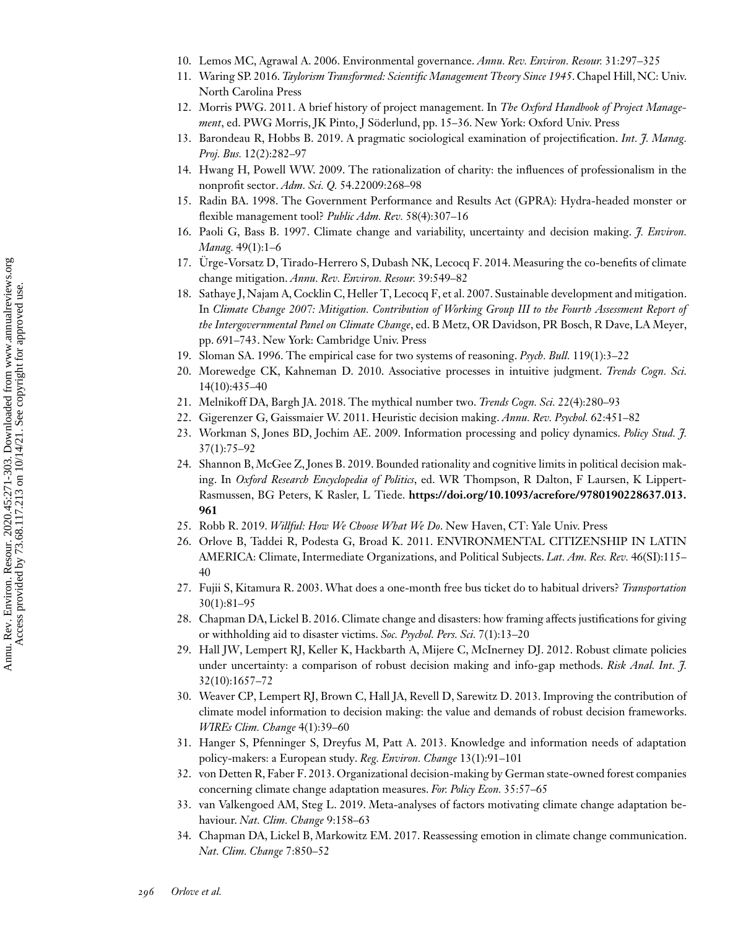- <span id="page-25-0"></span>10. Lemos MC, Agrawal A. 2006. Environmental governance. *Annu. Rev. Environ. Resour.* 31:297–325
- 11. Waring SP. 2016. *Taylorism Transformed: Scientific Management Theory Since 1945*. Chapel Hill, NC: Univ. North Carolina Press
- 12. Morris PWG. 2011. A brief history of project management. In *The Oxford Handbook of Project Management*, ed. PWG Morris, JK Pinto, J Söderlund, pp. 15–36. New York: Oxford Univ. Press
- 13. Barondeau R, Hobbs B. 2019. A pragmatic sociological examination of projectification. *Int. J. Manag. Proj. Bus.* 12(2):282–97
- 14. Hwang H, Powell WW. 2009. The rationalization of charity: the influences of professionalism in the nonprofit sector. *Adm. Sci. Q.* 54.22009:268–98
- 15. Radin BA. 1998. The Government Performance and Results Act (GPRA): Hydra-headed monster or flexible management tool? *Public Adm. Rev.* 58(4):307–16
- 16. Paoli G, Bass B. 1997. Climate change and variability, uncertainty and decision making. *J. Environ. Manag.* 49(1):1–6
- 17. Ürge-Vorsatz D, Tirado-Herrero S, Dubash NK, Lecocq F. 2014. Measuring the co-benefits of climate change mitigation. *Annu. Rev. Environ. Resour.* 39:549–82
- 18. Sathaye J, Najam A, Cocklin C, Heller T, Lecocq F, et al. 2007. Sustainable development and mitigation. In *Climate Change 2007: Mitigation. Contribution of Working Group III to the Fourth Assessment Report of the Intergovernmental Panel on Climate Change*, ed. B Metz, OR Davidson, PR Bosch, R Dave, LA Meyer, pp. 691–743. New York: Cambridge Univ. Press
- 19. Sloman SA. 1996. The empirical case for two systems of reasoning. *Psych. Bull.* 119(1):3–22
- 20. Morewedge CK, Kahneman D. 2010. Associative processes in intuitive judgment. *Trends Cogn. Sci.* 14(10):435–40
- 21. Melnikoff DA, Bargh JA. 2018. The mythical number two. *Trends Cogn. Sci.* 22(4):280–93
- 22. Gigerenzer G, Gaissmaier W. 2011. Heuristic decision making. *Annu. Rev. Psychol.* 62:451–82
- 23. Workman S, Jones BD, Jochim AE. 2009. Information processing and policy dynamics. *Policy Stud. J.* 37(1):75–92
- 24. Shannon B, McGee Z, Jones B. 2019. Bounded rationality and cognitive limits in political decision making. In *Oxford Research Encyclopedia of Politics*, ed. WR Thompson, R Dalton, F Laursen, K Lippert-Rasmussen, BG Peters, K Rasler, L Tiede. **[https://doi.org/10.1093/acrefore/9780190228637.013.](https://doi.org/10.1093/acrefore/9780190228637.013.961) 961**
- 25. Robb R. 2019. *Willful: How We Choose What We Do*. New Haven, CT: Yale Univ. Press
- 26. Orlove B, Taddei R, Podesta G, Broad K. 2011. ENVIRONMENTAL CITIZENSHIP IN LATIN AMERICA: Climate, Intermediate Organizations, and Political Subjects. *Lat. Am. Res. Rev.* 46(SI):115– 40
- 27. Fujii S, Kitamura R. 2003. What does a one-month free bus ticket do to habitual drivers? *Transportation* 30(1):81–95
- 28. Chapman DA, Lickel B. 2016. Climate change and disasters: how framing affects justifications for giving or withholding aid to disaster victims. *Soc. Psychol. Pers. Sci.* 7(1):13–20
- 29. Hall JW, Lempert RJ, Keller K, Hackbarth A, Mijere C, McInerney DJ. 2012. Robust climate policies under uncertainty: a comparison of robust decision making and info-gap methods. *Risk Anal. Int. J.* 32(10):1657–72
- 30. Weaver CP, Lempert RJ, Brown C, Hall JA, Revell D, Sarewitz D. 2013. Improving the contribution of climate model information to decision making: the value and demands of robust decision frameworks. *WIREs Clim. Change* 4(1):39–60
- 31. Hanger S, Pfenninger S, Dreyfus M, Patt A. 2013. Knowledge and information needs of adaptation policy-makers: a European study. *Reg. Environ. Change* 13(1):91–101
- 32. von Detten R, Faber F. 2013. Organizational decision-making by German state-owned forest companies concerning climate change adaptation measures. *For. Policy Econ.* 35:57–65
- 33. van Valkengoed AM, Steg L. 2019. Meta-analyses of factors motivating climate change adaptation behaviour. *Nat. Clim. Change* 9:158–63
- 34. Chapman DA, Lickel B, Markowitz EM. 2017. Reassessing emotion in climate change communication. *Nat. Clim. Change* 7:850–52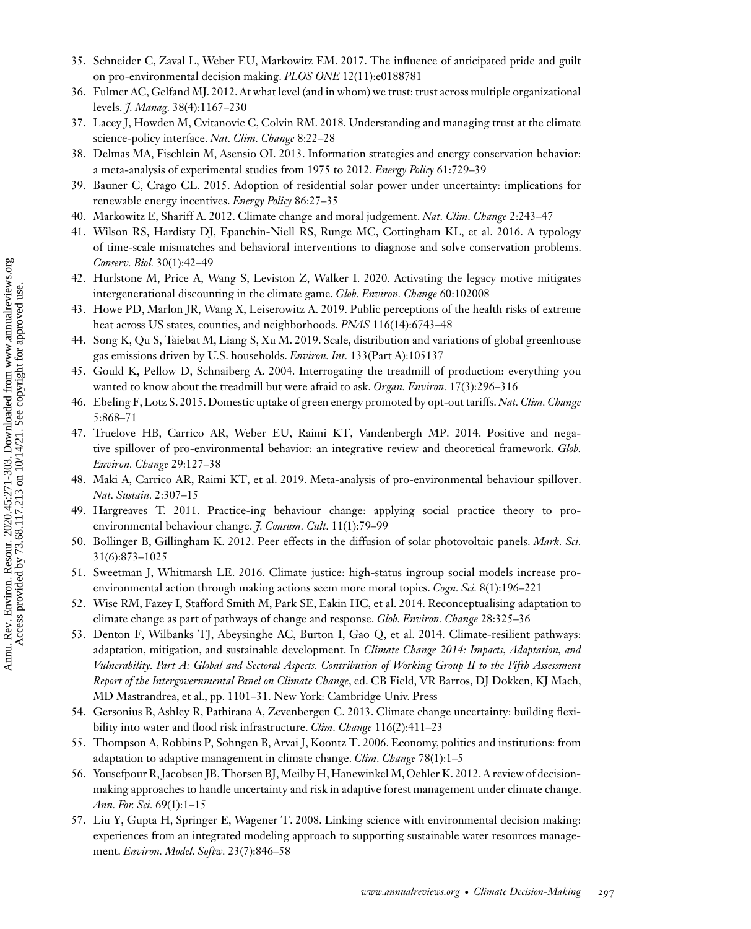- <span id="page-26-0"></span>35. Schneider C, Zaval L, Weber EU, Markowitz EM. 2017. The influence of anticipated pride and guilt on pro-environmental decision making. *PLOS ONE* 12(11):e0188781
- 36. Fulmer AC, Gelfand MJ. 2012. At what level (and in whom) we trust: trust across multiple organizational levels. *J. Manag.* 38(4):1167–230
- 37. Lacey J, Howden M, Cvitanovic C, Colvin RM. 2018. Understanding and managing trust at the climate science-policy interface. *Nat. Clim. Change* 8:22–28
- 38. Delmas MA, Fischlein M, Asensio OI. 2013. Information strategies and energy conservation behavior: a meta-analysis of experimental studies from 1975 to 2012. *Energy Policy* 61:729–39
- 39. Bauner C, Crago CL. 2015. Adoption of residential solar power under uncertainty: implications for renewable energy incentives. *Energy Policy* 86:27–35
- 40. Markowitz E, Shariff A. 2012. Climate change and moral judgement. *Nat. Clim. Change* 2:243–47
- 41. Wilson RS, Hardisty DJ, Epanchin-Niell RS, Runge MC, Cottingham KL, et al. 2016. A typology of time-scale mismatches and behavioral interventions to diagnose and solve conservation problems. *Conserv. Biol.* 30(1):42–49
- 42. Hurlstone M, Price A, Wang S, Leviston Z, Walker I. 2020. Activating the legacy motive mitigates intergenerational discounting in the climate game. *Glob. Environ. Change* 60:102008
- 43. Howe PD, Marlon JR, Wang X, Leiserowitz A. 2019. Public perceptions of the health risks of extreme heat across US states, counties, and neighborhoods. *PNAS* 116(14):6743–48
- 44. Song K, Qu S, Taiebat M, Liang S, Xu M. 2019. Scale, distribution and variations of global greenhouse gas emissions driven by U.S. households. *Environ. Int.* 133(Part A):105137
- 45. Gould K, Pellow D, Schnaiberg A. 2004. Interrogating the treadmill of production: everything you wanted to know about the treadmill but were afraid to ask. *Organ. Environ.* 17(3):296–316
- 46. Ebeling F, Lotz S. 2015. Domestic uptake of green energy promoted by opt-out tariffs.*Nat. Clim. Change* 5:868–71
- 47. Truelove HB, Carrico AR, Weber EU, Raimi KT, Vandenbergh MP. 2014. Positive and negative spillover of pro-environmental behavior: an integrative review and theoretical framework. *Glob. Environ. Change* 29:127–38
- 48. Maki A, Carrico AR, Raimi KT, et al. 2019. Meta-analysis of pro-environmental behaviour spillover. *Nat. Sustain.* 2:307–15
- 49. Hargreaves T. 2011. Practice-ing behaviour change: applying social practice theory to proenvironmental behaviour change. *J. Consum. Cult.* 11(1):79–99
- 50. Bollinger B, Gillingham K. 2012. Peer effects in the diffusion of solar photovoltaic panels. *Mark. Sci.* 31(6):873–1025
- 51. Sweetman J, Whitmarsh LE. 2016. Climate justice: high-status ingroup social models increase proenvironmental action through making actions seem more moral topics. *Cogn. Sci.* 8(1):196–221
- 52. Wise RM, Fazey I, Stafford Smith M, Park SE, Eakin HC, et al. 2014. Reconceptualising adaptation to climate change as part of pathways of change and response. *Glob. Environ. Change* 28:325–36
- 53. Denton F, Wilbanks TJ, Abeysinghe AC, Burton I, Gao Q, et al. 2014. Climate-resilient pathways: adaptation, mitigation, and sustainable development. In *Climate Change 2014: Impacts, Adaptation, and Vulnerability. Part A: Global and Sectoral Aspects. Contribution of Working Group II to the Fifth Assessment Report of the Intergovernmental Panel on Climate Change*, ed. CB Field, VR Barros, DJ Dokken, KJ Mach, MD Mastrandrea, et al., pp. 1101–31. New York: Cambridge Univ. Press
- 54. Gersonius B, Ashley R, Pathirana A, Zevenbergen C. 2013. Climate change uncertainty: building flexibility into water and flood risk infrastructure. *Clim. Change* 116(2):411–23
- 55. Thompson A, Robbins P, Sohngen B, Arvai J, Koontz T. 2006. Economy, politics and institutions: from adaptation to adaptive management in climate change. *Clim. Change* 78(1):1–5
- 56. Yousefpour R, Jacobsen JB, Thorsen BJ,Meilby H, Hanewinkel M, Oehler K. 2012. A review of decisionmaking approaches to handle uncertainty and risk in adaptive forest management under climate change. *Ann. For. Sci.* 69(1):1–15
- 57. Liu Y, Gupta H, Springer E, Wagener T. 2008. Linking science with environmental decision making: experiences from an integrated modeling approach to supporting sustainable water resources management. *Environ. Model. Softw.* 23(7):846–58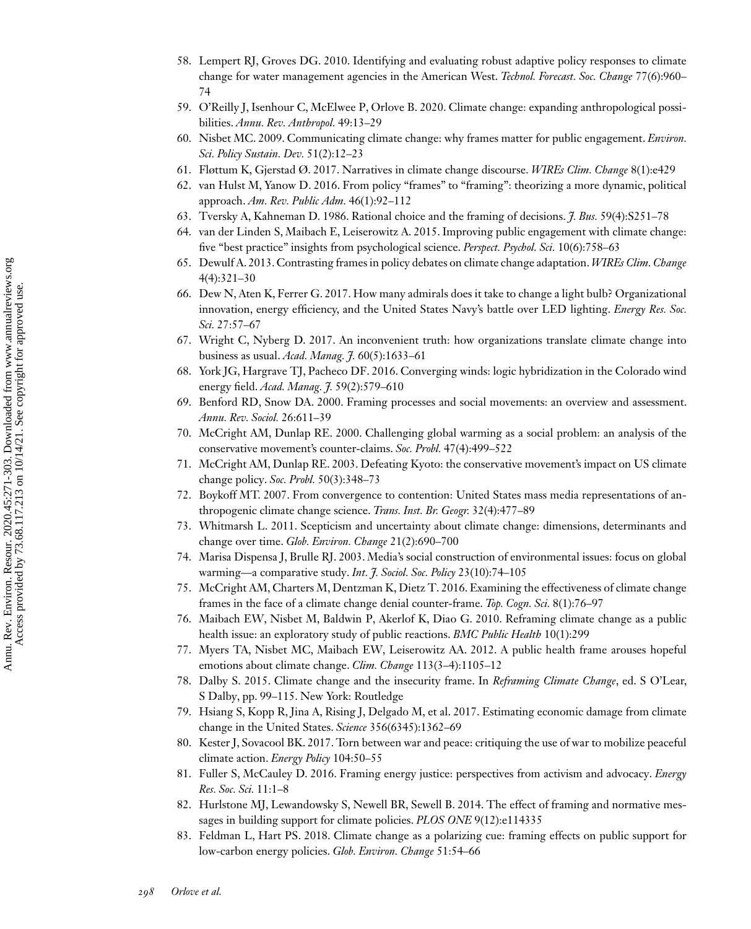- <span id="page-27-0"></span>58. Lempert RJ, Groves DG. 2010. Identifying and evaluating robust adaptive policy responses to climate change for water management agencies in the American West. *Technol. Forecast. Soc. Change* 77(6):960– 74
- 59. O'Reilly J, Isenhour C, McElwee P, Orlove B. 2020. Climate change: expanding anthropological possibilities. *Annu. Rev. Anthropol.* 49:13–29
- 60. Nisbet MC. 2009. Communicating climate change: why frames matter for public engagement. *Environ. Sci. Policy Sustain. Dev.* 51(2):12–23
- 61. Fløttum K, Gjerstad Ø. 2017. Narratives in climate change discourse. *WIREs Clim. Change* 8(1):e429
- 62. van Hulst M, Yanow D. 2016. From policy "frames" to "framing": theorizing a more dynamic, political approach. *Am. Rev. Public Adm.* 46(1):92–112
- 63. Tversky A, Kahneman D. 1986. Rational choice and the framing of decisions. *J. Bus.* 59(4):S251–78
- 64. van der Linden S, Maibach E, Leiserowitz A. 2015. Improving public engagement with climate change: five "best practice" insights from psychological science. *Perspect. Psychol. Sci.* 10(6):758–63
- 65. Dewulf A. 2013. Contrasting frames in policy debates on climate change adaptation.*WIREs Clim. Change* 4(4):321–30
- 66. Dew N, Aten K, Ferrer G. 2017. How many admirals does it take to change a light bulb? Organizational innovation, energy efficiency, and the United States Navy's battle over LED lighting. *Energy Res. Soc. Sci.* 27:57–67
- 67. Wright C, Nyberg D. 2017. An inconvenient truth: how organizations translate climate change into business as usual. *Acad. Manag. J.* 60(5):1633–61
- 68. York JG, Hargrave TJ, Pacheco DF. 2016. Converging winds: logic hybridization in the Colorado wind energy field. *Acad. Manag. J.* 59(2):579–610
- 69. Benford RD, Snow DA. 2000. Framing processes and social movements: an overview and assessment. *Annu. Rev. Sociol.* 26:611–39
- 70. McCright AM, Dunlap RE. 2000. Challenging global warming as a social problem: an analysis of the conservative movement's counter-claims. *Soc. Probl.* 47(4):499–522
- 71. McCright AM, Dunlap RE. 2003. Defeating Kyoto: the conservative movement's impact on US climate change policy. *Soc. Probl.* 50(3):348–73
- 72. Boykoff MT. 2007. From convergence to contention: United States mass media representations of anthropogenic climate change science. *Trans. Inst. Br. Geogr.* 32(4):477–89
- 73. Whitmarsh L. 2011. Scepticism and uncertainty about climate change: dimensions, determinants and change over time. *Glob. Environ. Change* 21(2):690–700
- 74. Marisa Dispensa J, Brulle RJ. 2003. Media's social construction of environmental issues: focus on global warming—a comparative study. *Int. J. Sociol. Soc. Policy* 23(10):74–105
- 75. McCright AM, Charters M, Dentzman K, Dietz T. 2016. Examining the effectiveness of climate change frames in the face of a climate change denial counter-frame. *Top. Cogn. Sci.* 8(1):76–97
- 76. Maibach EW, Nisbet M, Baldwin P, Akerlof K, Diao G. 2010. Reframing climate change as a public health issue: an exploratory study of public reactions. *BMC Public Health* 10(1):299
- 77. Myers TA, Nisbet MC, Maibach EW, Leiserowitz AA. 2012. A public health frame arouses hopeful emotions about climate change. *Clim. Change* 113(3–4):1105–12
- 78. Dalby S. 2015. Climate change and the insecurity frame. In *Reframing Climate Change*, ed. S O'Lear, S Dalby, pp. 99–115. New York: Routledge
- 79. Hsiang S, Kopp R, Jina A, Rising J, Delgado M, et al. 2017. Estimating economic damage from climate change in the United States. *Science* 356(6345):1362–69
- 80. Kester J, Sovacool BK. 2017. Torn between war and peace: critiquing the use of war to mobilize peaceful climate action. *Energy Policy* 104:50–55
- 81. Fuller S, McCauley D. 2016. Framing energy justice: perspectives from activism and advocacy. *Energy Res. Soc. Sci.* 11:1–8
- 82. Hurlstone MJ, Lewandowsky S, Newell BR, Sewell B. 2014. The effect of framing and normative messages in building support for climate policies. *PLOS ONE* 9(12):e114335
- 83. Feldman L, Hart PS. 2018. Climate change as a polarizing cue: framing effects on public support for low-carbon energy policies. *Glob. Environ. Change* 51:54–66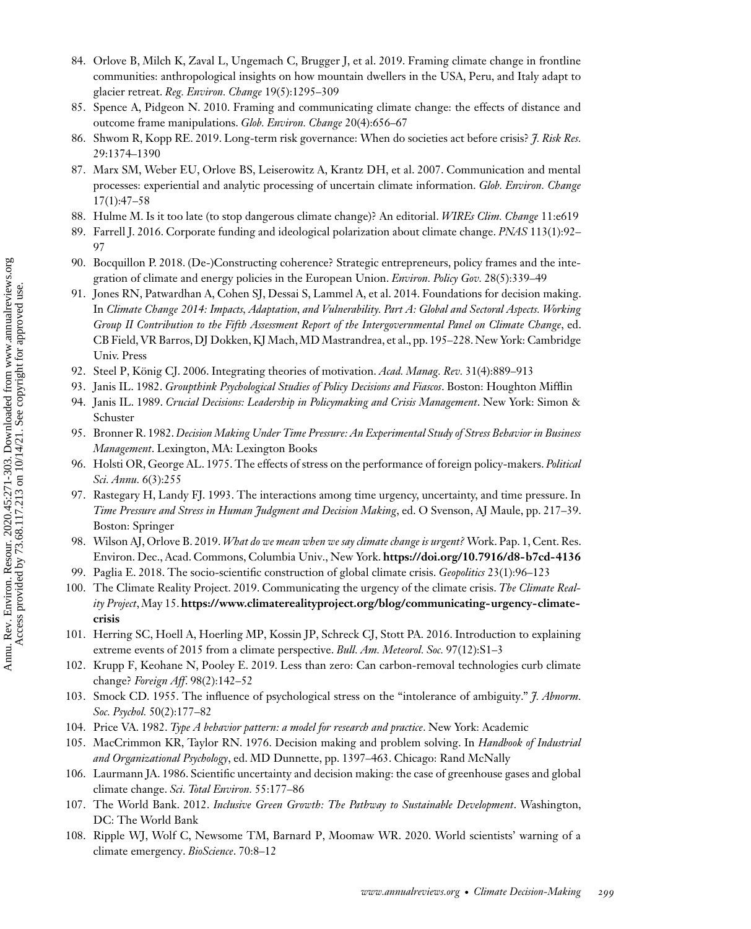- <span id="page-28-0"></span>84. Orlove B, Milch K, Zaval L, Ungemach C, Brugger J, et al. 2019. Framing climate change in frontline communities: anthropological insights on how mountain dwellers in the USA, Peru, and Italy adapt to glacier retreat. *Reg. Environ. Change* 19(5):1295–309
- 85. Spence A, Pidgeon N. 2010. Framing and communicating climate change: the effects of distance and outcome frame manipulations. *Glob. Environ. Change* 20(4):656–67
- 86. Shwom R, Kopp RE. 2019. Long-term risk governance: When do societies act before crisis? *J. Risk Res.* 29:1374–1390
- 87. Marx SM, Weber EU, Orlove BS, Leiserowitz A, Krantz DH, et al. 2007. Communication and mental processes: experiential and analytic processing of uncertain climate information. *Glob. Environ. Change* 17(1):47–58
- 88. Hulme M. Is it too late (to stop dangerous climate change)? An editorial. *WIREs Clim. Change* 11:e619
- 89. Farrell J. 2016. Corporate funding and ideological polarization about climate change. *PNAS* 113(1):92– 97
- 90. Bocquillon P. 2018. (De-)Constructing coherence? Strategic entrepreneurs, policy frames and the integration of climate and energy policies in the European Union. *Environ. Policy Gov.* 28(5):339–49
- 91. Jones RN, Patwardhan A, Cohen SJ, Dessai S, Lammel A, et al. 2014. Foundations for decision making. In *Climate Change 2014: Impacts, Adaptation, and Vulnerability. Part A: Global and Sectoral Aspects. Working Group II Contribution to the Fifth Assessment Report of the Intergovernmental Panel on Climate Change*, ed. CB Field, VR Barros, DJ Dokken, KJ Mach,MD Mastrandrea, et al., pp. 195–228. New York: Cambridge Univ. Press
- 92. Steel P, König CJ. 2006. Integrating theories of motivation. *Acad. Manag. Rev.* 31(4):889–913
- 93. Janis IL. 1982. *Groupthink Psychological Studies of Policy Decisions and Fiascos*. Boston: Houghton Mifflin
- 94. Janis IL. 1989. *Crucial Decisions: Leadership in Policymaking and Crisis Management*. New York: Simon & Schuster
- 95. Bronner R. 1982.*Decision Making Under Time Pressure: An Experimental Study of Stress Behavior in Business Management*. Lexington, MA: Lexington Books
- 96. Holsti OR, George AL. 1975. The effects of stress on the performance of foreign policy-makers. *Political Sci. Annu.* 6(3):255
- 97. Rastegary H, Landy FJ. 1993. The interactions among time urgency, uncertainty, and time pressure. In *Time Pressure and Stress in Human Judgment and Decision Making*, ed. O Svenson, AJ Maule, pp. 217–39. Boston: Springer
- 98. Wilson AJ, Orlove B. 2019.*What do we mean when we say climate change is urgent?* Work. Pap. 1, Cent. Res. Environ. Dec., Acad. Commons, Columbia Univ., New York. **<https://doi.org/10.7916/d8-b7cd-4136>**
- 99. Paglia E. 2018. The socio-scientific construction of global climate crisis. *Geopolitics* 23(1):96–123
- 100. The Climate Reality Project. 2019. Communicating the urgency of the climate crisis. *The Climate Reality Project*,May 15. **[https://www.climaterealityproject.org/blog/communicating-urgency-climate](https://www.climaterealityproject.org/blog/communicating-urgency-climate-crisis)crisis**
- 101. Herring SC, Hoell A, Hoerling MP, Kossin JP, Schreck CJ, Stott PA. 2016. Introduction to explaining extreme events of 2015 from a climate perspective. *Bull. Am. Meteorol. Soc.* 97(12):S1–3
- 102. Krupp F, Keohane N, Pooley E. 2019. Less than zero: Can carbon-removal technologies curb climate change? *Foreign Aff*. 98(2):142–52
- 103. Smock CD. 1955. The influence of psychological stress on the "intolerance of ambiguity." *J. Abnorm. Soc. Psychol.* 50(2):177–82
- 104. Price VA. 1982. *Type A behavior pattern: a model for research and practice*. New York: Academic
- 105. MacCrimmon KR, Taylor RN. 1976. Decision making and problem solving. In *Handbook of Industrial and Organizational Psychology*, ed. MD Dunnette, pp. 1397–463. Chicago: Rand McNally
- 106. Laurmann JA. 1986. Scientific uncertainty and decision making: the case of greenhouse gases and global climate change. *Sci. Total Environ.* 55:177–86
- 107. The World Bank. 2012. *Inclusive Green Growth: The Pathway to Sustainable Development*. Washington, DC: The World Bank
- 108. Ripple WJ, Wolf C, Newsome TM, Barnard P, Moomaw WR. 2020. World scientists' warning of a climate emergency. *BioScience*. 70:8–12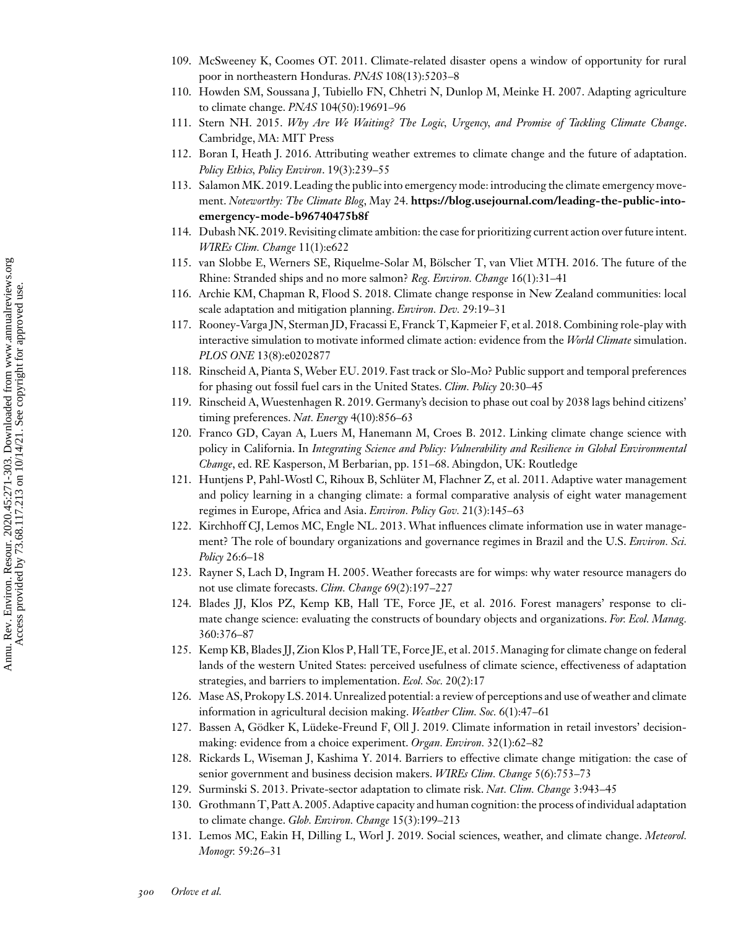- <span id="page-29-0"></span>109. McSweeney K, Coomes OT. 2011. Climate-related disaster opens a window of opportunity for rural poor in northeastern Honduras. *PNAS* 108(13):5203–8
- 110. Howden SM, Soussana J, Tubiello FN, Chhetri N, Dunlop M, Meinke H. 2007. Adapting agriculture to climate change. *PNAS* 104(50):19691–96
- 111. Stern NH. 2015. *Why Are We Waiting? The Logic, Urgency, and Promise of Tackling Climate Change*. Cambridge, MA: MIT Press
- 112. Boran I, Heath J. 2016. Attributing weather extremes to climate change and the future of adaptation. *Policy Ethics, Policy Environ*. 19(3):239–55
- 113. Salamon MK. 2019. Leading the public into emergency mode: introducing the climate emergency movement. *Noteworthy: The Climate Blog*, May 24. **[https://blog.usejournal.com/leading-the-public-into](https://blog.usejournal.com/leading-the-public-into-emergency-mode-b96740475b8f)emergency-mode-b96740475b8f**
- 114. Dubash NK. 2019. Revisiting climate ambition: the case for prioritizing current action over future intent. *WIREs Clim. Change* 11(1):e622
- 115. van Slobbe E, Werners SE, Riquelme-Solar M, Bölscher T, van Vliet MTH. 2016. The future of the Rhine: Stranded ships and no more salmon? *Reg. Environ. Change* 16(1):31–41
- 116. Archie KM, Chapman R, Flood S. 2018. Climate change response in New Zealand communities: local scale adaptation and mitigation planning. *Environ. Dev.* 29:19–31
- 117. Rooney-Varga JN, Sterman JD, Fracassi E, Franck T, Kapmeier F, et al. 2018. Combining role-play with interactive simulation to motivate informed climate action: evidence from the *World Climate* simulation. *PLOS ONE* 13(8):e0202877
- 118. Rinscheid A, Pianta S,Weber EU. 2019. Fast track or Slo-Mo? Public support and temporal preferences for phasing out fossil fuel cars in the United States. *Clim. Policy* 20:30–45
- 119. Rinscheid A, Wuestenhagen R. 2019. Germany's decision to phase out coal by 2038 lags behind citizens' timing preferences. *Nat. Energy* 4(10):856–63
- 120. Franco GD, Cayan A, Luers M, Hanemann M, Croes B. 2012. Linking climate change science with policy in California. In *Integrating Science and Policy: Vulnerability and Resilience in Global Environmental Change*, ed. RE Kasperson, M Berbarian, pp. 151–68. Abingdon, UK: Routledge
- 121. Huntjens P, Pahl-Wostl C, Rihoux B, Schlüter M, Flachner Z, et al. 2011. Adaptive water management and policy learning in a changing climate: a formal comparative analysis of eight water management regimes in Europe, Africa and Asia. *Environ. Policy Gov.* 21(3):145–63
- 122. Kirchhoff CJ, Lemos MC, Engle NL. 2013. What influences climate information use in water management? The role of boundary organizations and governance regimes in Brazil and the U.S. *Environ. Sci. Policy* 26:6–18
- 123. Rayner S, Lach D, Ingram H. 2005. Weather forecasts are for wimps: why water resource managers do not use climate forecasts. *Clim. Change* 69(2):197–227
- 124. Blades JJ, Klos PZ, Kemp KB, Hall TE, Force JE, et al. 2016. Forest managers' response to climate change science: evaluating the constructs of boundary objects and organizations. *For. Ecol. Manag.* 360:376–87
- 125. Kemp KB, Blades JJ, Zion Klos P, Hall TE, Force JE, et al. 2015.Managing for climate change on federal lands of the western United States: perceived usefulness of climate science, effectiveness of adaptation strategies, and barriers to implementation. *Ecol. Soc.* 20(2):17
- 126. Mase AS, Prokopy LS. 2014. Unrealized potential: a review of perceptions and use of weather and climate information in agricultural decision making. *Weather Clim. Soc.* 6(1):47–61
- 127. Bassen A, Gödker K, Lüdeke-Freund F, Oll J. 2019. Climate information in retail investors' decisionmaking: evidence from a choice experiment. *Organ. Environ.* 32(1):62–82
- 128. Rickards L, Wiseman J, Kashima Y. 2014. Barriers to effective climate change mitigation: the case of senior government and business decision makers. *WIREs Clim. Change* 5(6):753–73
- 129. Surminski S. 2013. Private-sector adaptation to climate risk. *Nat. Clim. Change* 3:943–45
- 130. Grothmann T, Patt A. 2005. Adaptive capacity and human cognition: the process of individual adaptation to climate change. *Glob. Environ. Change* 15(3):199–213
- 131. Lemos MC, Eakin H, Dilling L, Worl J. 2019. Social sciences, weather, and climate change. *Meteorol. Monogr.* 59:26–31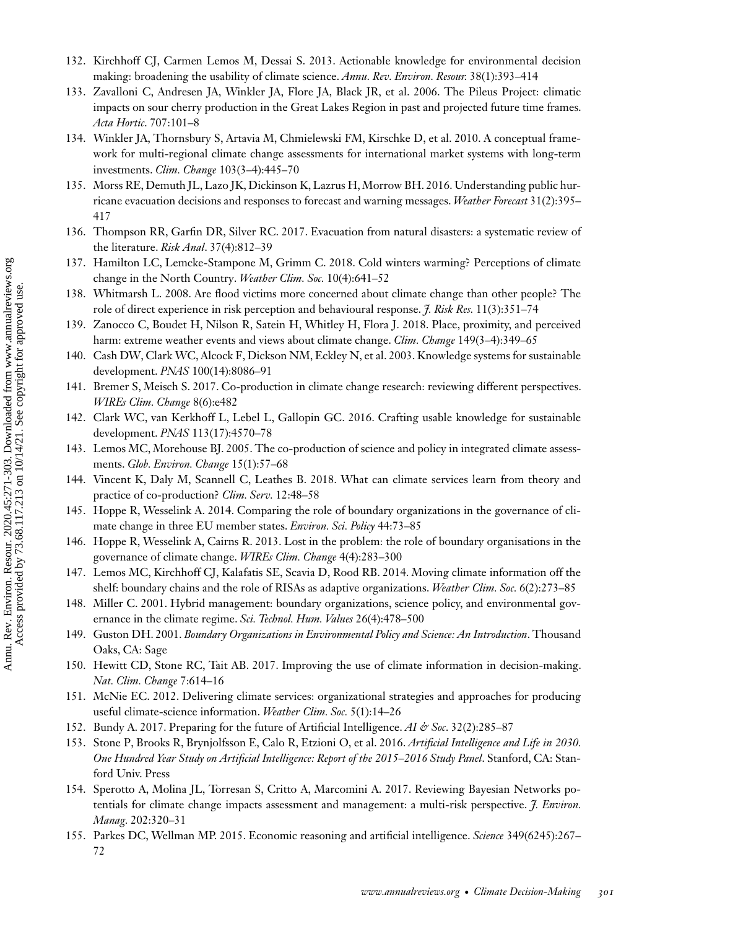- <span id="page-30-0"></span>132. Kirchhoff CJ, Carmen Lemos M, Dessai S. 2013. Actionable knowledge for environmental decision making: broadening the usability of climate science. *Annu. Rev. Environ. Resour.* 38(1):393–414
- 133. Zavalloni C, Andresen JA, Winkler JA, Flore JA, Black JR, et al. 2006. The Pileus Project: climatic impacts on sour cherry production in the Great Lakes Region in past and projected future time frames. *Acta Hortic*. 707:101–8
- 134. Winkler JA, Thornsbury S, Artavia M, Chmielewski FM, Kirschke D, et al. 2010. A conceptual framework for multi-regional climate change assessments for international market systems with long-term investments. *Clim. Change* 103(3–4):445–70
- 135. Morss RE, Demuth JL, Lazo JK, Dickinson K, Lazrus H, Morrow BH. 2016. Understanding public hurricane evacuation decisions and responses to forecast and warning messages. *Weather Forecast* 31(2):395– 417
- 136. Thompson RR, Garfin DR, Silver RC. 2017. Evacuation from natural disasters: a systematic review of the literature. *Risk Anal*. 37(4):812–39
- 137. Hamilton LC, Lemcke-Stampone M, Grimm C. 2018. Cold winters warming? Perceptions of climate change in the North Country. *Weather Clim. Soc.* 10(4):641–52
- 138. Whitmarsh L. 2008. Are flood victims more concerned about climate change than other people? The role of direct experience in risk perception and behavioural response. *J. Risk Res.* 11(3):351–74
- 139. Zanocco C, Boudet H, Nilson R, Satein H, Whitley H, Flora J. 2018. Place, proximity, and perceived harm: extreme weather events and views about climate change. *Clim. Change* 149(3–4):349–65
- 140. Cash DW, Clark WC, Alcock F, Dickson NM, Eckley N, et al. 2003. Knowledge systems for sustainable development. *PNAS* 100(14):8086–91
- 141. Bremer S, Meisch S. 2017. Co-production in climate change research: reviewing different perspectives. *WIREs Clim. Change* 8(6):e482
- 142. Clark WC, van Kerkhoff L, Lebel L, Gallopin GC. 2016. Crafting usable knowledge for sustainable development. *PNAS* 113(17):4570–78
- 143. Lemos MC, Morehouse BJ. 2005. The co-production of science and policy in integrated climate assessments. *Glob. Environ. Change* 15(1):57–68
- 144. Vincent K, Daly M, Scannell C, Leathes B. 2018. What can climate services learn from theory and practice of co-production? *Clim. Serv.* 12:48–58
- 145. Hoppe R, Wesselink A. 2014. Comparing the role of boundary organizations in the governance of climate change in three EU member states. *Environ. Sci. Policy* 44:73–85
- 146. Hoppe R, Wesselink A, Cairns R. 2013. Lost in the problem: the role of boundary organisations in the governance of climate change. *WIREs Clim. Change* 4(4):283–300
- 147. Lemos MC, Kirchhoff CJ, Kalafatis SE, Scavia D, Rood RB. 2014. Moving climate information off the shelf: boundary chains and the role of RISAs as adaptive organizations. *Weather Clim. Soc.* 6(2):273–85
- 148. Miller C. 2001. Hybrid management: boundary organizations, science policy, and environmental governance in the climate regime. *Sci. Technol. Hum. Values* 26(4):478–500
- 149. Guston DH. 2001. *Boundary Organizations in Environmental Policy and Science: An Introduction*. Thousand Oaks, CA: Sage
- 150. Hewitt CD, Stone RC, Tait AB. 2017. Improving the use of climate information in decision-making. *Nat. Clim. Change* 7:614–16
- 151. McNie EC. 2012. Delivering climate services: organizational strategies and approaches for producing useful climate-science information. *Weather Clim. Soc.* 5(1):14–26
- 152. Bundy A. 2017. Preparing for the future of Artificial Intelligence. *AI & Soc*. 32(2):285–87
- 153. Stone P, Brooks R, Brynjolfsson E, Calo R, Etzioni O, et al. 2016. *Artificial Intelligence and Life in 2030. One Hundred Year Study on Artificial Intelligence: Report of the 2015*–*2016 Study Panel*. Stanford, CA: Stanford Univ. Press
- 154. Sperotto A, Molina JL, Torresan S, Critto A, Marcomini A. 2017. Reviewing Bayesian Networks potentials for climate change impacts assessment and management: a multi-risk perspective. *J. Environ. Manag.* 202:320–31
- 155. Parkes DC, Wellman MP. 2015. Economic reasoning and artificial intelligence. *Science* 349(6245):267– 72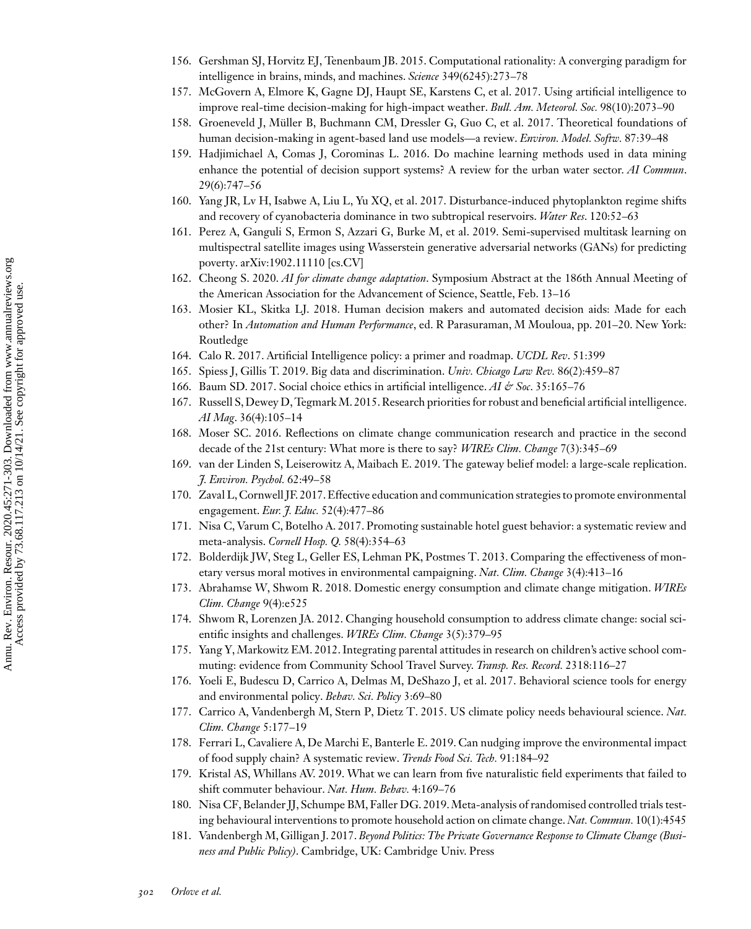- <span id="page-31-0"></span>156. Gershman SJ, Horvitz EJ, Tenenbaum JB. 2015. Computational rationality: A converging paradigm for intelligence in brains, minds, and machines. *Science* 349(6245):273–78
- 157. McGovern A, Elmore K, Gagne DJ, Haupt SE, Karstens C, et al. 2017. Using artificial intelligence to improve real-time decision-making for high-impact weather. *Bull. Am. Meteorol. Soc.* 98(10):2073–90
- 158. Groeneveld J, Müller B, Buchmann CM, Dressler G, Guo C, et al. 2017. Theoretical foundations of human decision-making in agent-based land use models—a review. *Environ. Model. Softw.* 87:39–48
- 159. Hadjimichael A, Comas J, Corominas L. 2016. Do machine learning methods used in data mining enhance the potential of decision support systems? A review for the urban water sector. *AI Commun*. 29(6):747–56
- 160. Yang JR, Lv H, Isabwe A, Liu L, Yu XQ, et al. 2017. Disturbance-induced phytoplankton regime shifts and recovery of cyanobacteria dominance in two subtropical reservoirs. *Water Res*. 120:52–63
- 161. Perez A, Ganguli S, Ermon S, Azzari G, Burke M, et al. 2019. Semi-supervised multitask learning on multispectral satellite images using Wasserstein generative adversarial networks (GANs) for predicting poverty. arXiv:1902.11110 [cs.CV]
- 162. Cheong S. 2020. *AI for climate change adaptation*. Symposium Abstract at the 186th Annual Meeting of the American Association for the Advancement of Science, Seattle, Feb. 13–16
- 163. Mosier KL, Skitka LJ. 2018. Human decision makers and automated decision aids: Made for each other? In *Automation and Human Performance*, ed. R Parasuraman, M Mouloua, pp. 201–20. New York: Routledge
- 164. Calo R. 2017. Artificial Intelligence policy: a primer and roadmap. *UCDL Rev*. 51:399
- 165. Spiess J, Gillis T. 2019. Big data and discrimination. *Univ. Chicago Law Rev.* 86(2):459–87
- 166. Baum SD. 2017. Social choice ethics in artificial intelligence. *AI & Soc*. 35:165–76
- 167. Russell S, Dewey D, Tegmark M. 2015. Research priorities for robust and beneficial artificial intelligence. *AI Mag*. 36(4):105–14
- 168. Moser SC. 2016. Reflections on climate change communication research and practice in the second decade of the 21st century: What more is there to say? *WIREs Clim. Change* 7(3):345–69
- 169. van der Linden S, Leiserowitz A, Maibach E. 2019. The gateway belief model: a large-scale replication. *J. Environ. Psychol.* 62:49–58
- 170. Zaval L, Cornwell JF. 2017.Effective education and communication strategies to promote environmental engagement. *Eur. J. Educ.* 52(4):477–86
- 171. Nisa C, Varum C, Botelho A. 2017. Promoting sustainable hotel guest behavior: a systematic review and meta-analysis. *Cornell Hosp. Q.* 58(4):354–63
- 172. Bolderdijk JW, Steg L, Geller ES, Lehman PK, Postmes T. 2013. Comparing the effectiveness of monetary versus moral motives in environmental campaigning. *Nat. Clim. Change* 3(4):413–16
- 173. Abrahamse W, Shwom R. 2018. Domestic energy consumption and climate change mitigation. *WIREs Clim. Change* 9(4):e525
- 174. Shwom R, Lorenzen JA. 2012. Changing household consumption to address climate change: social scientific insights and challenges. *WIREs Clim. Change* 3(5):379–95
- 175. Yang Y, Markowitz EM. 2012. Integrating parental attitudes in research on children's active school commuting: evidence from Community School Travel Survey. *Transp. Res. Record.* 2318:116–27
- 176. Yoeli E, Budescu D, Carrico A, Delmas M, DeShazo J, et al. 2017. Behavioral science tools for energy and environmental policy. *Behav. Sci. Policy* 3:69–80
- 177. Carrico A, Vandenbergh M, Stern P, Dietz T. 2015. US climate policy needs behavioural science. *Nat. Clim. Change* 5:177–19
- 178. Ferrari L, Cavaliere A, De Marchi E, Banterle E. 2019. Can nudging improve the environmental impact of food supply chain? A systematic review. *Trends Food Sci. Tech.* 91:184–92
- 179. Kristal AS, Whillans AV. 2019. What we can learn from five naturalistic field experiments that failed to shift commuter behaviour. *Nat. Hum. Behav.* 4:169–76
- 180. Nisa CF, Belander JJ, Schumpe BM, Faller DG. 2019.Meta-analysis of randomised controlled trials testing behavioural interventions to promote household action on climate change. *Nat. Commun.* 10(1):4545
- 181. Vandenbergh M, Gilligan J. 2017. *Beyond Politics: The Private Governance Response to Climate Change (Business and Public Policy)*. Cambridge, UK: Cambridge Univ. Press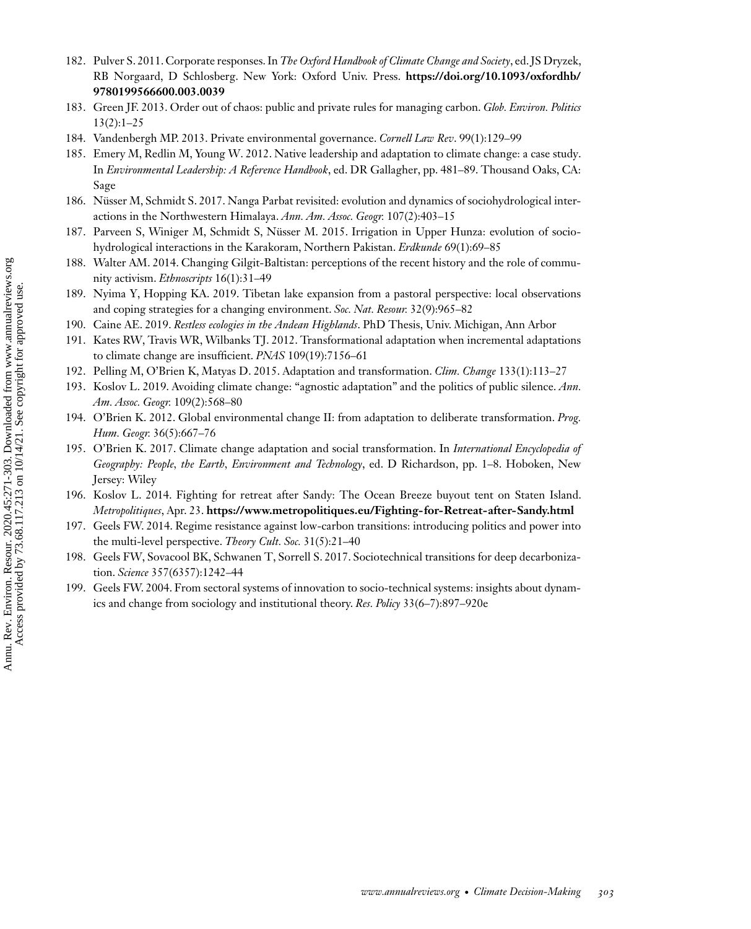- <span id="page-32-0"></span>182. Pulver S. 2011. Corporate responses. In *The Oxford Handbook of Climate Change and Society*, ed. JS Dryzek, [RB Norgaard, D Schlosberg. New York: Oxford Univ. Press.](https://doi.org/10.1093/oxfordhb/9780199566600.003.0039) **https://doi.org/10.1093/oxfordhb/ 9780199566600.003.0039**
- 183. Green JF. 2013. Order out of chaos: public and private rules for managing carbon. *Glob. Environ. Politics* 13(2):1–25
- 184. Vandenbergh MP. 2013. Private environmental governance. *Cornell Law Rev*. 99(1):129–99
- 185. Emery M, Redlin M, Young W. 2012. Native leadership and adaptation to climate change: a case study. In *Environmental Leadership: A Reference Handbook*, ed. DR Gallagher, pp. 481–89. Thousand Oaks, CA: Sage
- 186. Nüsser M, Schmidt S. 2017. Nanga Parbat revisited: evolution and dynamics of sociohydrological interactions in the Northwestern Himalaya. *Ann. Am. Assoc. Geogr.* 107(2):403–15
- 187. Parveen S, Winiger M, Schmidt S, Nüsser M. 2015. Irrigation in Upper Hunza: evolution of sociohydrological interactions in the Karakoram, Northern Pakistan. *Erdkunde* 69(1):69–85
- 188. Walter AM. 2014. Changing Gilgit-Baltistan: perceptions of the recent history and the role of community activism. *Ethnoscripts* 16(1):31–49
- 189. Nyima Y, Hopping KA. 2019. Tibetan lake expansion from a pastoral perspective: local observations and coping strategies for a changing environment. *Soc. Nat. Resour.* 32(9):965–82
- 190. Caine AE. 2019. *Restless ecologies in the Andean Highlands*. PhD Thesis, Univ. Michigan, Ann Arbor
- 191. Kates RW, Travis WR, Wilbanks TJ. 2012. Transformational adaptation when incremental adaptations to climate change are insufficient. *PNAS* 109(19):7156–61
- 192. Pelling M, O'Brien K, Matyas D. 2015. Adaptation and transformation. *Clim. Change* 133(1):113–27
- 193. Koslov L. 2019. Avoiding climate change: "agnostic adaptation" and the politics of public silence. *Ann. Am. Assoc. Geogr.* 109(2):568–80
- 194. O'Brien K. 2012. Global environmental change II: from adaptation to deliberate transformation. *Prog. Hum. Geogr.* 36(5):667–76
- 195. O'Brien K. 2017. Climate change adaptation and social transformation. In *International Encyclopedia of Geography: People, the Earth, Environment and Technology*, ed. D Richardson, pp. 1–8. Hoboken, New Jersey: Wiley
- 196. Koslov L. 2014. Fighting for retreat after Sandy: The Ocean Breeze buyout tent on Staten Island. *Metropolitiques*, Apr. 23. **<https://www.metropolitiques.eu/Fighting-for-Retreat-after-Sandy.html>**
- 197. Geels FW. 2014. Regime resistance against low-carbon transitions: introducing politics and power into the multi-level perspective. *Theory Cult. Soc.* 31(5):21–40
- 198. Geels FW, Sovacool BK, Schwanen T, Sorrell S. 2017. Sociotechnical transitions for deep decarbonization. *Science* 357(6357):1242–44
- 199. Geels FW. 2004. From sectoral systems of innovation to socio-technical systems: insights about dynamics and change from sociology and institutional theory. *Res. Policy* 33(6–7):897–920e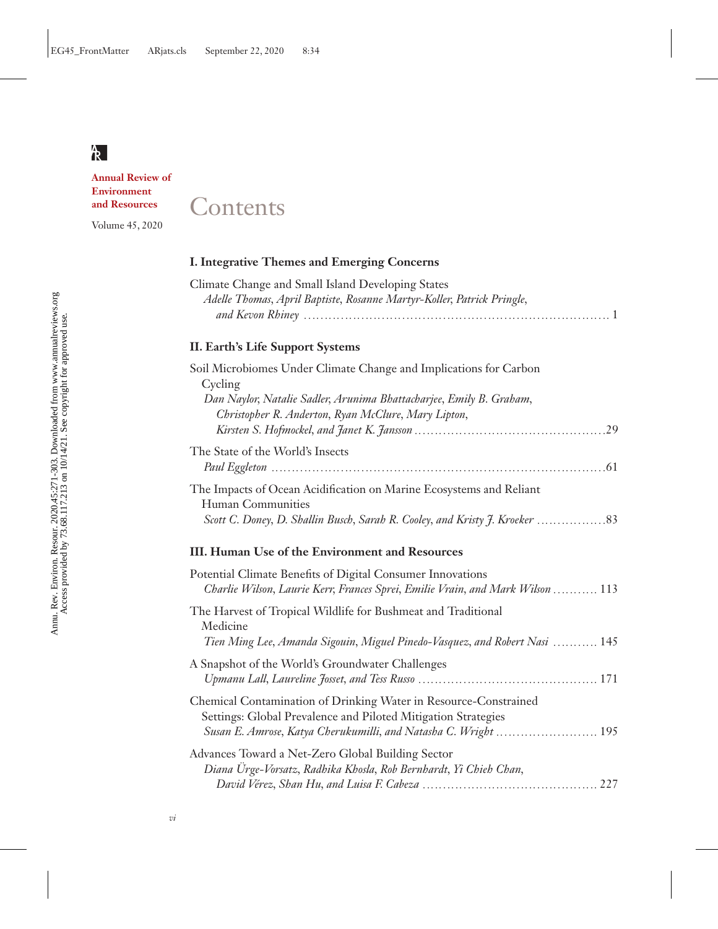**Annual Review of Environment and Resources**

Volume 45, 2020

# **Contents**

# **I. Integrative Themes and Emerging Concerns**

| Climate Change and Small Island Developing States                      |  |
|------------------------------------------------------------------------|--|
| Adelle Thomas, April Baptiste, Rosanne Martyr-Koller, Patrick Pringle, |  |
|                                                                        |  |

# **II. Earth's Life Support Systems**

| Soil Microbiomes Under Climate Change and Implications for Carbon   |
|---------------------------------------------------------------------|
| Cycling                                                             |
| Dan Naylor, Natalie Sadler, Arunima Bhattacharjee, Emily B. Graham, |
| Christopher R. Anderton, Ryan McClure, Mary Lipton,                 |
|                                                                     |
| The State of the World's Insects                                    |
|                                                                     |
| The Impacts of Ocean Acidification on Marine Ecosystems and Reliant |
| Human Communities                                                   |
|                                                                     |
|                                                                     |

# **III. Human Use of the Environment and Resources**

| Potential Climate Benefits of Digital Consumer Innovations<br>Charlie Wilson, Laurie Kerr, Frances Sprei, Emilie Vrain, and Mark Wilson  113            |  |
|---------------------------------------------------------------------------------------------------------------------------------------------------------|--|
| The Harvest of Tropical Wildlife for Bushmeat and Traditional<br>Medicine<br>Tien Ming Lee, Amanda Sigouin, Miguel Pinedo-Vasquez, and Robert Nasi  145 |  |
| A Snapshot of the World's Groundwater Challenges                                                                                                        |  |
| Chemical Contamination of Drinking Water in Resource-Constrained<br>Settings: Global Prevalence and Piloted Mitigation Strategies                       |  |
| Advances Toward a Net-Zero Global Building Sector<br>Diana Ürge-Vorsatz, Radhika Khosla, Rob Bernhardt, Yi Chieh Chan,                                  |  |